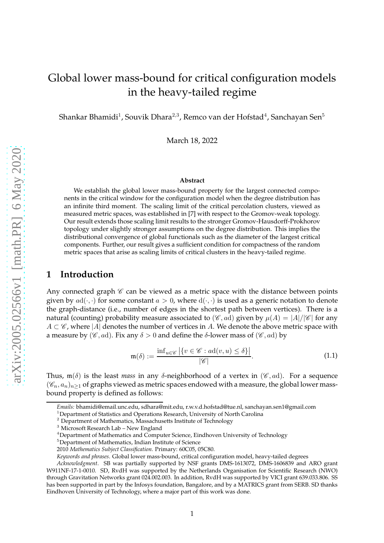# Global lower mass-bound for critical configuration models in the heavy-tailed regime

Shankar Bhamidi $^1$ , Souvik Dhara $^{2,3}$ , Remco van der Hofstad $^4$ , Sanchayan Sen $^5$ 

March 18, 2022

#### **Abstract**

We establish the global lower mass-bound property for the largest connected components in the critical window for the configuration model when the degree distribution has an infinite third moment. The scaling limit of the critical percolation clusters, viewed as measured metric spaces, was established in [\[7\]](#page-23-0) with respect to the Gromov-weak topology. Our result extends those scaling limit results to the stronger Gromov-Hausdorff-Prokhorov topology under slightly stronger assumptions on the degree distribution. This implies the distributional convergence of global functionals such as the diameter of the largest critical components. Further, our result gives a sufficient condition for compactness of the random metric spaces that arise as scaling limits of critical clusters in the heavy-tailed regime.

### **1 Introduction**

Any connected graph  $\mathscr C$  can be viewed as a metric space with the distance between points given by  $ad(\cdot, \cdot)$  for some constant  $a > 0$ , where  $d(\cdot, \cdot)$  is used as a generic notation to denote the graph-distance (i.e., number of edges in the shortest path between vertices). There is a natural (counting) probability measure associated to  $(\mathscr{C}, ad)$  given by  $\mu(A) = |A|/|\mathscr{C}|$  for any  $A \subset \mathscr{C}$ , where |A| denotes the number of vertices in A. We denote the above metric space with a measure by ( $\mathscr{C}$ , *a*d). Fix any  $\delta > 0$  and define the  $\delta$ -lower mass of ( $\mathscr{C}$ , *ad*) by

$$
\mathfrak{m}(\delta) := \frac{\inf_{u \in \mathscr{C}} |\{v \in \mathscr{C} : a d(v, u) \le \delta\}|}{|\mathscr{C}|}.
$$
\n(1.1)

<span id="page-0-0"></span>Thus,  $\mathfrak{m}(\delta)$  is the least *mass* in any  $\delta$ -neighborhood of a vertex in ( $\mathscr{C}, ad$ ). For a sequence  $(\mathscr{C}_n, a_n)_{n>1}$  of graphs viewed as metric spaces endowed with a measure, the global lower massbound property is defined as follows:

*Emails:* [bhamidi@email.unc.edu,](mailto:bhamidi@email.unc.edu) [sdhara@mit.edu,](mailto:sdhara@mit.edu) [r.w.v.d.hofstad@tue.nl,](mailto:r.w.v.d.hofstad@tue.nl) [sanchayan.sen1@gmail.com](mailto:sanchayan.sen1@gmail.com)

<sup>&</sup>lt;sup>1</sup>Department of Statistics and Operations Research, University of North Carolina

<sup>&</sup>lt;sup>2</sup> Department of Mathematics, Massachusetts Institute of Technology

<sup>3</sup> Microsoft Research Lab – New England

<sup>4</sup>Department of Mathematics and Computer Science, Eindhoven University of Technology

<sup>5</sup>Department of Mathematics, Indian Institute of Science

<sup>2010</sup> *Mathematics Subject Classification.* Primary: 60C05, 05C80.

*Keywords and phrases*. Global lower mass-bound, critical configuration model, heavy-tailed degrees

*Acknowledgment*. SB was partially supported by NSF grants DMS-1613072, DMS-1606839 and ARO grant W911NF-17-1-0010. SD, RvdH was supported by the Netherlands Organisation for Scientific Research (NWO) through Gravitation Networks grant 024.002.003. In addition, RvdH was supported by VICI grant 639.033.806. SS has been supported in part by the Infosys foundation, Bangalore, and by a MATRICS grant from SERB. SD thanks Eindhoven University of Technology, where a major part of this work was done.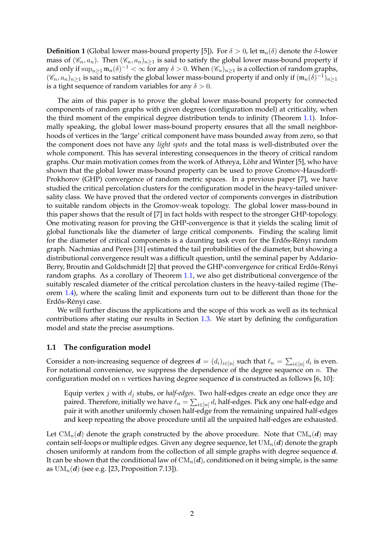**Definition 1** (Global lower mass-bound property [\[5](#page-23-1)]). For  $\delta > 0$ , let  $\mathfrak{m}_n(\delta)$  denote the  $\delta$ -lower mass of  $(\mathscr{C}_n, a_n)$ . Then  $(\mathscr{C}_n, a_n)_{n>1}$  is said to satisfy the global lower mass-bound property if and only if  $\sup_{n\geq 1}\mathfrak{m}_n(\delta)^{-1}<\infty$  for any  $\delta>0$ . When  $(\mathscr{C}_n)_{n\geq 1}$  is a collection of random graphs,  $(\mathscr{C}_n, a_n)_{n\geq 1}$  is said to satisfy the global lower mass-bound property if and only if  $(\mathfrak{m}_n(\delta)^{-1})_{n\geq 1}$ is a tight sequence of random variables for any  $\delta > 0$ .

The aim of this paper is to prove the global lower mass-bound property for connected components of random graphs with given degrees (configuration model) at criticality, when the third moment of the empirical degree distribution tends to infinity (Theorem [1.1\)](#page-3-0). Informally speaking, the global lower mass-bound property ensures that all the small neighborhoods of vertices in the 'large' critical component have mass bounded away from zero, so that the component does not have any *light spots* and the total mass is well-distributed over the whole component. This has several interesting consequences in the theory of critical random graphs. Our main motivation comes from the work of Athreya, Löhr and Winter [\[5](#page-23-1)], who have shown that the global lower mass-bound property can be used to prove Gromov-Hausdorff-Prokhorov (GHP) convergence of random metric spaces. In a previous paper [\[7\]](#page-23-0), we have studied the critical percolation clusters for the configuration model in the heavy-tailed universality class. We have proved that the ordered vector of components converges in distribution to suitable random objects in the Gromov-weak topology. The global lower mass-bound in this paper shows that the result of [\[7\]](#page-23-0) in fact holds with respect to the stronger GHP-topology. One motivating reason for proving the GHP-convergence is that it yields the scaling limit of global functionals like the diameter of large critical components. Finding the scaling limit for the diameter of critical components is a daunting task even for the Erdős-Rényi random graph. Nachmias and Peres [\[31](#page-24-0)] estimated the tail probabilities of the diameter, but showing a distributional convergence result was a difficult question, until the seminal paper by Addario-Berry, Broutin and Goldschmidt [\[2\]](#page-23-2) that proved the GHP-convergence for critical Erdős-Rényi random graphs. As a corollary of Theorem [1.1,](#page-3-0) we also get distributional convergence of the suitably rescaled diameter of the critical percolation clusters in the heavy-tailed regime (Theorem [1.4\)](#page-4-0), where the scaling limit and exponents turn out to be different than those for the Erdős-Rényi case.

We will further discuss the applications and the scope of this work as well as its technical contributions after stating our results in Section [1.3.](#page-4-1) We start by defining the configuration model and state the precise assumptions.

### **1.1 The configuration model**

Consider a non-increasing sequence of degrees  $\bm{d} = (d_i)_{i \in [n]}$  such that  $\ell_n = \sum_{i \in [n]} d_i$  is even. For notational convenience, we suppress the dependence of the degree sequence on  $n$ . The configuration model on *n* vertices having degree sequence  $d$  is constructed as follows [\[6](#page-23-3), [10](#page-23-4)]:

Equip vertex  $j$  with  $d_j$  stubs, or *half-edges*. Two half-edges create an edge once they are paired. Therefore, initially we have  $\ell_n = \sum_{i \in [n]} d_i$  half-edges. Pick any one half-edge and pair it with another uniformly chosen half-edge from the remaining unpaired half-edges and keep repeating the above procedure until all the unpaired half-edges are exhausted.

Let  $CM_n(d)$  denote the graph constructed by the above procedure. Note that  $CM_n(d)$  may contain self-loops or multiple edges. Given any degree sequence, let  $UM_n(d)$  denote the graph chosen uniformly at random from the collection of all simple graphs with degree sequence d. It can be shown that the conditional law of  $CM_n(d)$ , conditioned on it being simple, is the same as  $UM_n(d)$  (see e.g. [\[23](#page-23-5), Proposition 7.13]).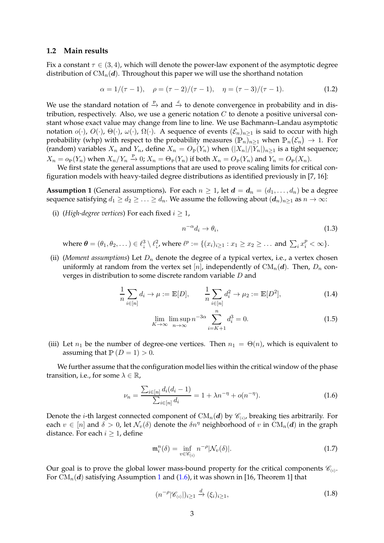### **1.2 Main results**

Fix a constant  $\tau \in (3, 4)$ , which will denote the power-law exponent of the asymptotic degree distribution of  $CM_n(d)$ . Throughout this paper we will use the shorthand notation

$$
\alpha = 1/(\tau - 1), \quad \rho = (\tau - 2)/(\tau - 1), \quad \eta = (\tau - 3)/(\tau - 1). \tag{1.2}
$$

We use the standard notation of  $\stackrel{\mathbb{P}}{\rightarrow}$  and  $\stackrel{d}{\rightarrow}$  to denote convergence in probability and in distribution, respectively. Also, we use a generic notation  $C$  to denote a positive universal constant whose exact value may change from line to line. We use Bachmann–Landau asymptotic notation  $o(\cdot)$ ,  $O(\cdot)$ ,  $\Theta(\cdot)$ ,  $\omega(\cdot)$ ,  $\Omega(\cdot)$ . A sequence of events  $(\mathcal{E}_n)_{n>1}$  is said to occur with high probability (whp) with respect to the probability measures  $(\mathbb{P}_n)_{n\geq 1}$  when  $\mathbb{P}_n(\mathcal{E}_n)\to 1$ . For (random) variables  $X_n$  and  $Y_n$ , define  $X_n = O_{\mathbb{P}}(Y_n)$  when  $(|X_n|/|Y_n|)_{n\geq 1}$  is a tight sequence;  $X_n = o_{\mathbb{P}}(Y_n)$  when  $X_n/Y_n \xrightarrow{r} 0$ ;  $X_n = \Theta_{\mathbb{P}}(Y_n)$  if both  $X_n = O_{\mathbb{P}}(Y_n)$  and  $Y_n = O_{\mathbb{P}}(X_n)$ .

<span id="page-2-0"></span>We first state the general assumptions that are used to prove scaling limits for critical configuration models with heavy-tailed degree distributions as identified previously in [\[7](#page-23-0), [16](#page-23-6)]:

**Assumption 1** (General assumptions). For each  $n \geq 1$ , let  $d = d_n = (d_1, \ldots, d_n)$  be a degree sequence satisfying  $d_1 \geq d_2 \geq \ldots \geq d_n$ . We assume the following about  $(d_n)_{n\geq 1}$  as  $n \to \infty$ :

(i) (*High-degree vertices*) For each fixed  $i \geq 1$ ,

<span id="page-2-5"></span><span id="page-2-3"></span>
$$
n^{-\alpha}d_i \to \theta_i,\tag{1.3}
$$

where  $\boldsymbol{\theta} = (\theta_1, \theta_2, \dots) \in \ell^3_+ \setminus \ell^2_+$ , where  $\ell^p := \{(x_i)_{i \geq 1} : x_1 \geq x_2 \geq \dots \text{ and } \sum_i x_i^p < \infty\}.$ 

(ii) (*Moment assumptions*) Let  $D_n$  denote the degree of a typical vertex, i.e., a vertex chosen uniformly at random from the vertex set [n], independently of  $CM_n(d)$ . Then,  $D_n$  converges in distribution to some discrete random variable D and

$$
\frac{1}{n} \sum_{i \in [n]} d_i \to \mu := \mathbb{E}[D], \qquad \frac{1}{n} \sum_{i \in [n]} d_i^2 \to \mu_2 := \mathbb{E}[D^2], \tag{1.4}
$$

$$
\lim_{K \to \infty} \limsup_{n \to \infty} n^{-3\alpha} \sum_{i=K+1}^{n} d_i^3 = 0.
$$
 (1.5)

(iii) Let  $n_1$  be the number of degree-one vertices. Then  $n_1 = \Theta(n)$ , which is equivalent to assuming that  $P(D = 1) > 0$ .

We further assume that the configuration model lies within the critical window of the phase transition, i.e., for some  $\lambda \in \mathbb{R}$ ,

<span id="page-2-1"></span>
$$
\nu_n = \frac{\sum_{i \in [n]} d_i (d_i - 1)}{\sum_{i \in [n]} d_i} = 1 + \lambda n^{-\eta} + o(n^{-\eta}).\tag{1.6}
$$

Denote the *i*-th largest connected component of  $\mathrm{CM}_n(\bm{d})$  by  $\mathscr{C}_{(i)}$ , breaking ties arbitrarily. For each  $v \in [n]$  and  $\delta > 0$ , let  $\mathcal{N}_v(\delta)$  denote the  $\delta n^{\eta}$  neighborhood of v in  $\text{CM}_n(\boldsymbol{d})$  in the graph distance. For each  $i \geq 1$ , define

<span id="page-2-2"></span>
$$
\mathfrak{m}_i^n(\delta) = \inf_{v \in \mathscr{C}_{(i)}} n^{-\rho} |\mathcal{N}_v(\delta)|. \tag{1.7}
$$

<span id="page-2-4"></span>Our goal is to prove the global lower mass-bound property for the critical components  $\mathscr{C}_{(i)}$ . For  $CM_n(d)$  satisfying Assumption [1](#page-2-0) and [\(1.6\)](#page-2-1), it was shown in [\[16](#page-23-6), Theorem 1] that

$$
(n^{-\rho}|\mathscr{C}_{(i)}|)_{i\geq 1} \xrightarrow{d} (\xi_i)_{i\geq 1},\tag{1.8}
$$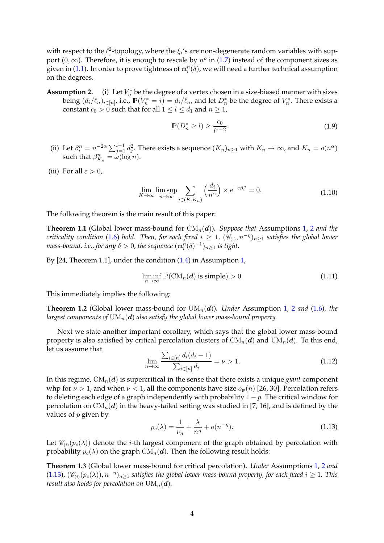with respect to the  $\ell_\downarrow^2$ -topology, where the  $\xi_i$ 's are non-degenerate random variables with support  $(0, \infty)$ . Therefore, it is enough to rescale by  $n^{\rho}$  in [\(1.7\)](#page-2-2) instead of the component sizes as given in [\(1.1\)](#page-0-0). In order to prove tightness of  $\mathfrak{m}_i^n(\delta)$ , we will need a further technical assumption on the degrees.

<span id="page-3-1"></span>**Assumption 2.**  $\mathbf{F}_n^*$  be the degree of a vertex chosen in a size-biased manner with sizes being  $(d_i/\ell_n)_{i\in[n]}$ , i.e.,  $\mathbb{P}(V_n^*=i)=d_i/\ell_n$ , and let  $D_n^*$  be the degree of  $V_n^*$ . There exists a constant  $c_0 > 0$  such that for all  $1 \leq l \leq d_1$  and  $n \geq 1$ ,

$$
\mathbb{P}(D_n^* \ge l) \ge \frac{c_0}{l^{\tau - 2}}.\tag{1.9}
$$

- (ii) Let  $\beta_i^n = n^{-2\alpha} \sum_{j=1}^{i-1} d_j^2$ . There exists a sequence  $(K_n)_{n \geq 1}$  with  $K_n \to \infty$ , and  $K_n = o(n^{\alpha})$ such that  $\beta_{K_n}^n = \omega(\log n)$ .
- <span id="page-3-4"></span>(iii) For all  $\varepsilon > 0$ ,

$$
\lim_{K \to \infty} \limsup_{n \to \infty} \sum_{i \in (K, K_n)} \left( \frac{d_i}{n^{\alpha}} \right) \times e^{-\varepsilon \beta_i^n} = 0.
$$
\n(1.10)

<span id="page-3-0"></span>The following theorem is the main result of this paper:

**Theorem 1.1** (Global lower mass-bound for  $CM_n(d)$ ). Suppose that Assumptions [1,](#page-2-0) [2](#page-3-1) and the *criticality condition* [\(1.6\)](#page-2-1) *hold.* Then, for each fixed  $i \ge 1$ ,  $(\mathscr{C}_{(i)}, n^{-\eta})_{n \ge 1}$  satisfies the global lower mass-bound, i.e., for any  $\delta > 0$ , the sequence  $(\mathfrak{m}_i^n(\delta)^{-1})_{n \geq 1}$  is tight.

By [\[24](#page-23-7), Theorem 1.1], under the condition [\(1.4\)](#page-2-3) in Assumption [1,](#page-2-0)

$$
\liminf_{n \to \infty} \mathbb{P}(\text{CM}_n(\boldsymbol{d}) \text{ is simple}) > 0. \tag{1.11}
$$

This immediately implies the following:

**Theorem 1.[2](#page-3-1)** (Global lower mass-bound for  $UM_n(d)$ ). *Under* Assumption [1,](#page-2-0) 2 *and* [\(1.6\)](#page-2-1)*, the largest components of*  $UM_n(d)$  *also satisfy the global lower mass-bound property.* 

Next we state another important corollary, which says that the global lower mass-bound property is also satisfied by critical percolation clusters of  $CM_n(d)$  and  $UM_n(d)$ . To this end, let us assume that

$$
\lim_{n \to \infty} \frac{\sum_{i \in [n]} d_i (d_i - 1)}{\sum_{i \in [n]} d_i} = \nu > 1.
$$
\n(1.12)

In this regime,  $CM_n(d)$  is supercritical in the sense that there exists a unique *giant* component whp for  $\nu > 1$ , and when  $\nu < 1$ , all the components have size  $o_{\mathbb{P}}(n)$  [\[26,](#page-23-8) [30](#page-24-1)]. Percolation refers to deleting each edge of a graph independently with probability  $1 - p$ . The critical window for percolation on  $CM_n(d)$  in the heavy-tailed setting was studied in [\[7](#page-23-0), [16\]](#page-23-6), and is defined by the values of  $p$  given by

<span id="page-3-2"></span>
$$
p_c(\lambda) = \frac{1}{\nu_n} + \frac{\lambda}{n^{\eta}} + o(n^{-\eta}).
$$
\n(1.13)

<span id="page-3-3"></span>Let  $\mathscr{C}_{(i)}(p_c(\lambda))$  denote the *i*-th largest component of the graph obtained by percolation with probability  $p_c(\lambda)$  on the graph  $CM_n(d)$ . Then the following result holds:

**Theorem 1.3** (Global lower mass-bound for critical percolation)**.** *Under* Assumptions [1,](#page-2-0) [2](#page-3-1) *and*  $(1.13)$ ,  $(\mathscr{C}_{(i)}(p_c(\lambda)), n^{-\eta})_{n\geq 1}$  satisfies the global lower mass-bound property, for each fixed  $i\geq 1$ . This *result also holds for percolation on*  $UM_n(d)$ .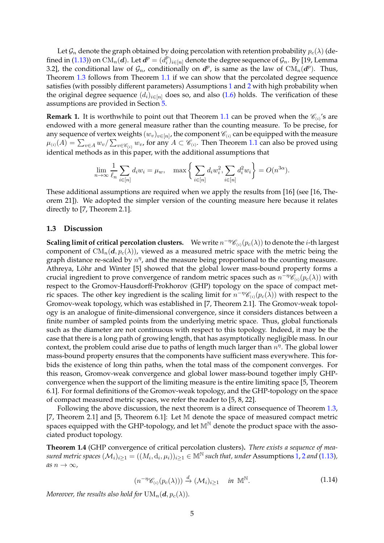Let  $\mathcal{G}_n$  denote the graph obtained by doing percolation with retention probability  $p_c(\lambda)$  (de-fined in [\(1.13\)](#page-3-2)) on  $\widetilde{\mathrm{CM}_n(\boldsymbol{d})}.$  Let  $\boldsymbol{d^p} = (d_i^p)$  $\mathcal{C}_i^p\rangle_{i\in[n]}$  denote the degree sequence of  $\mathcal{G}_n.$  By [\[19](#page-23-9), Lemma 3.2], the conditional law of  $\mathcal{G}_n$ , conditionally on  $d^p$ , is same as the law of  $\mathrm{CM}_n(d^p)$ . Thus, Theorem [1.3](#page-3-3) follows from Theorem [1.1](#page-3-0) if we can show that the percolated degree sequence satisfies (with possibly different parameters) Assumptions [1](#page-2-0) and [2](#page-3-1) with high probability when the original degree sequence  $(d_i)_{i\in[n]}$  does so, and also [\(1.6\)](#page-2-1) holds. The verification of these assumptions are provided in Section [5.](#page-20-0)

**Remark 1.** It is worthwhile to point out that Theorem [1.1](#page-3-0) can be proved when the  $\mathscr{C}_{(i)}$ 's are endowed with a more general measure rather than the counting measure. To be precise, for any sequence of vertex weights  $(w_v)_{v\in [n]}$ , the component  $\mathscr{C}_{(i)}$  can be equipped with the measure  $\mu_{(i)}(A) = \sum_{v \in A} w_v / \sum_{v \in \mathscr{C}_{(i)}} w_v$ , for any  $A \subset \mathscr{C}_{(i)}$ . Then Theorem [1.1](#page-3-0) can also be proved using identical methods as in this paper, with the additional assumptions that

$$
\lim_{n \to \infty} \frac{1}{\ell_n} \sum_{i \in [n]} d_i w_i = \mu_w, \quad \max \left\{ \sum_{i \in [n]} d_i w_i^2, \sum_{i \in [n]} d_i^2 w_i \right\} = O(n^{3\alpha}).
$$

These additional assumptions are required when we apply the results from [\[16\]](#page-23-6) (see [\[16,](#page-23-6) Theorem 21]). We adopted the simpler version of the counting measure here because it relates directly to [\[7,](#page-23-0) Theorem 2.1].

### <span id="page-4-1"></span>**1.3 Discussion**

**Scaling limit of critical percolation clusters.** We write  $n^{-\eta} \mathscr{C}_{(i)}(p_c(\lambda))$  to denote the *i*-th largest component of  $CM_n(d, p_c(\lambda))$ , viewed as a measured metric space with the metric being the graph distance re-scaled by  $n^{\eta}$ , and the measure being proportional to the counting measure. Athreya, Löhr and Winter [\[5](#page-23-1)] showed that the global lower mass-bound property forms a crucial ingredient to prove convergence of random metric spaces such as  $n^{-\eta}\mathscr{C}_{(i)}(p_c(\lambda))$  with respect to the Gromov-Hausdorff-Prokhorov (GHP) topology on the space of compact metric spaces. The other key ingredient is the scaling limit for  $n^{-\eta} \mathscr{C}_{(i)}(p_c(\lambda))$  with respect to the Gromov-weak topology, which was established in [\[7](#page-23-0), Theorem 2.1]. The Gromov-weak topology is an analogue of finite-dimensional convergence, since it considers distances between a finite number of sampled points from the underlying metric space. Thus, global functionals such as the diameter are not continuous with respect to this topology. Indeed, it may be the case that there is a long path of growing length, that has asymptotically negligible mass. In our context, the problem could arise due to paths of length much larger than  $n^{\eta}$ . The global lower mass-bound property ensures that the components have sufficient mass everywhere. This forbids the existence of long thin paths, when the total mass of the component converges. For this reason, Gromov-weak convergence and global lower mass-bound together imply GHPconvergence when the support of the limiting measure is the entire limiting space [\[5,](#page-23-1) Theorem 6.1]. For formal definitions of the Gromov-weak topology, and the GHP-topology on the space of compact measured metric spcaes, we refer the reader to [\[5](#page-23-1), [8](#page-23-10), [22\]](#page-23-11).

Following the above discussion, the next theorem is a direct consequence of Theorem [1.3,](#page-3-3) [\[7](#page-23-0), Theorem 2.1] and [\[5](#page-23-1), Theorem 6.1]: Let M denote the space of measured compact metric spaces equipped with the GHP-topology, and let  $M^{\mathbb{N}}$  denote the product space with the associated product topology.

<span id="page-4-0"></span>**Theorem 1.4** (GHP convergence of critical percolation clusters)**.** *There exists a sequence of measured metric spaces*  $(M_i)_{i\geq 1}$  =  $((M_i, d_i, \mu_i))_{i\geq 1}$   $\in \mathbb{M}^{\mathbb{N}}$  *such that, under* Assumptions [1,](#page-2-0) [2](#page-3-1) *and* [\(1.13\)](#page-3-2)*,*  $as n \rightarrow \infty$ ,

$$
(n^{-\eta} \mathscr{C}_{(i)}(p_c(\lambda))) \stackrel{d}{\to} (\mathcal{M}_i)_{i \ge 1} \quad \text{in } \mathbb{M}^{\mathbb{N}}.
$$
 (1.14)

*Moreover, the results also hold for*  $UM_n(\boldsymbol{d}, p_c(\lambda))$ *.*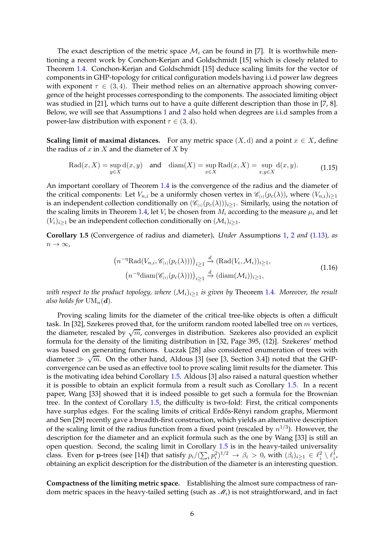The exact description of the metric space  $\mathcal{M}_i$  can be found in [\[7\]](#page-23-0). It is worthwhile mentioning a recent work by Conchon-Kerjan and Goldschmidt [\[15\]](#page-23-12) which is closely related to Theorem [1.4.](#page-4-0) Conchon-Kerjan and Goldschmidt [\[15](#page-23-12)] deduce scaling limits for the vector of components in GHP-topology for critical configuration models having i.i.d power law degrees with exponent  $\tau \in (3, 4)$ . Their method relies on an alternative approach showing convergence of the height processes corresponding to the components. The associated limiting object was studied in [\[21](#page-23-13)], which turns out to have a quite different description than those in [\[7](#page-23-0), [8\]](#page-23-10). Below, we will see that Assumptions [1](#page-2-0) and [2](#page-3-1) also hold when degrees are i.i.d samples from a power-law distribution with exponent  $\tau \in (3, 4)$ .

**Scaling limit of maximal distances.** For any metric space  $(X, d)$  and a point  $x \in X$ , define the radius of  $x$  in  $X$  and the diameter of  $X$  by

$$
\operatorname{Rad}(x, X) = \sup_{y \in X} d(x, y) \quad \text{and} \quad \operatorname{diam}(X) = \sup_{x \in X} \operatorname{Rad}(x, X) = \sup_{x, y \in X} d(x, y). \tag{1.15}
$$

An important corollary of Theorem [1.4](#page-4-0) is the convergence of the radius and the diameter of the critical components: Let  $V_{n,i}$  be a uniformly chosen vertex in  $\mathcal{C}_{(i)}(p_c(\lambda))$ , where  $(V_{n,i})_{i\geq 1}$ is an independent collection conditionally on  $(\mathscr{C}_{(i)}(p_c(\lambda)))_{i>1}$ . Similarly, using the notation of the scaling limits in Theorem [1.4,](#page-4-0) let  $V_i$  be chosen from  $M_i$  according to the measure  $\mu_i$  and let  $(V_i)_{i\geq 1}$  be an independent collection conditionally on  $(M_i)_{i\geq 1}$ .

<span id="page-5-0"></span>**Corollary 1.5** (Convergence of radius and diameter)**.** *Under* Assumptions [1,](#page-2-0) [2](#page-3-1) *and* [\(1.13\)](#page-3-2)*, as*  $n \to \infty$ ,

$$
(n^{-\eta} \text{Rad}(V_{n,i}, \mathscr{C}_{(i)}(p_c(\lambda))))_{i \ge 1} \xrightarrow{d} (\text{Rad}(V_i, \mathcal{M}_i))_{i \ge 1},
$$
  

$$
(n^{-\eta} \text{diam}(\mathscr{C}_{(i)}(p_c(\lambda))))_{i \ge 1} \xrightarrow{d} (\text{diam}(\mathcal{M}_i))_{i \ge 1},
$$
\n(1.16)

*with respect to the product topology, where*  $(M_i)_{i>1}$  *is given by Theorem [1.4](#page-4-0). Moreover, the result also holds for*  $UM_n(d)$ *.* 

Proving scaling limits for the diameter of the critical tree-like objects is often a difficult task. In [\[32](#page-24-2)], Szekeres proved that, for the uniform random rooted labelled tree on  $m$  vertices, the diameter, rescaled by  $\sqrt{m}$ , converges in distribution. Szekeres also provided an explicit formula for the density of the limiting distribution in [\[32](#page-24-2), Page 395, (12)]. Szekeres' method was based on generating functions. Łuczak [\[28](#page-23-14)] also considered enumeration of trees with diameter  $\gg \sqrt{m}$ . On the other hand, Aldous [\[3\]](#page-23-15) (see [\[3](#page-23-15), Section 3.4]) noted that the GHPconvergence can be used as an effective tool to prove scaling limit results for the diameter. This is the motivating idea behind Corollary [1.5.](#page-5-0) Aldous [\[3](#page-23-15)] also raised a natural question whether it is possible to obtain an explicit formula from a result such as Corollary [1.5.](#page-5-0) In a recent paper, Wang [\[33\]](#page-24-3) showed that it is indeed possible to get such a formula for the Brownian tree. In the context of Corollary [1.5,](#page-5-0) the difficulty is two-fold: First, the critical components have surplus edges. For the scaling limits of critical Erdős-Rényi random graphs, Miermont and Sen [\[29](#page-24-4)] recently gave a breadth-first construction, which yields an alternative description of the scaling limit of the radius function from a fixed point (rescaled by  $n^{1/3}$ ). However, the description for the diameter and an explicit formula such as the one by Wang [\[33\]](#page-24-3) is still an open question. Second, the scaling limit in Corollary [1.5](#page-5-0) is in the heavy-tailed universality class. Even for p-trees (see [\[14](#page-23-16)]) that satisfy  $p_i/(\sum_i p_i^2)^{1/2} \to \beta_i > 0$ , with  $(\beta_i)_{i\geq 1} \in \ell^2_{\downarrow} \setminus \ell^1_{\downarrow}$ , obtaining an explicit description for the distribution of the diameter is an interesting question.

**Compactness of the limiting metric space.** Establishing the almost sure compactness of random metric spaces in the heavy-tailed setting (such as  $\mathcal{M}_i$ ) is not straightforward, and in fact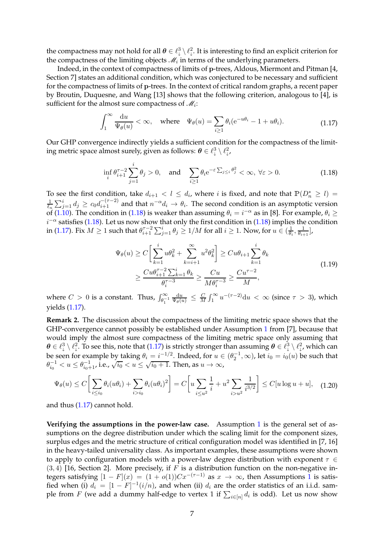the compactness may not hold for all  $\bm{\theta} \in \ell^3_1 \setminus \ell^2_1$ . It is interesting to find an explicit criterion for the compactness of the limiting objects  $\mathcal{M}_i$  in terms of the underlying parameters.

Indeed, in the context of compactness of limits of p-trees, Aldous, Miermont and Pitman [\[4](#page-23-17), Section 7] states an additional condition, which was conjectured to be necessary and sufficient for the compactness of limits of p-trees. In the context of critical random graphs, a recent paper by Broutin, Duquesne, and Wang [\[13](#page-23-18)] shows that the following criterion, analogous to [\[4\]](#page-23-17), is sufficient for the almost sure compactness of  $\mathcal{M}_i$ :

$$
\int_{1}^{\infty} \frac{\mathrm{d}u}{\Psi_{\theta}(u)} < \infty, \quad \text{where} \quad \Psi_{\theta}(u) = \sum_{i \ge 1} \theta_i (e^{-u\theta_i} - 1 + u\theta_i). \tag{1.17}
$$

<span id="page-6-1"></span>Our GHP convergence indirectly yields a sufficient condition for the compactness of the limiting metric space almost surely, given as follows:  $\boldsymbol{\theta} \in \ell^3_+ \setminus \ell^2_{\downarrow}$ ,

$$
\inf_{i} \theta_{i+1}^{\tau-2} \sum_{j=1}^{i} \theta_j > 0, \quad \text{and} \quad \sum_{i \ge 1} \theta_i e^{-\varepsilon \sum_{j \le i} \theta_j^2} < \infty, \ \forall \varepsilon > 0. \tag{1.18}
$$

<span id="page-6-0"></span>To see the first condition, take  $d_{i+1} < l \leq d_i$ , where i is fixed, and note that  $\mathbb{P}(D_n^* \geq l)$ 1  $\frac{1}{\ell_n}\sum_{j=1}^i d_j \geq c_0 d_{i+1}^{-(\tau-2)}$  and that  $n^{-\alpha}d_i \to \theta_i$ . The second condition is an asymptotic version of [\(1.10\)](#page-3-4). The condition in [\(1.18\)](#page-6-0) is weaker than assuming  $\theta_i = i^{-\alpha}$  as in [\[8\]](#page-23-10). For example,  $\theta_i \ge$  $i^{-\alpha}$  satisfies [\(1.18\)](#page-6-0). Let us now show that only the first condition in [\(1.18\)](#page-6-0) implies the condition in [\(1.17\)](#page-6-1). Fix  $M\geq 1$  such that  $\theta_{i+1}^{\tau-2}\sum_{j=1}^i\theta_j\geq 1/M$  for all  $i\geq 1.$  Now, for  $u\in(\frac{1}{\theta_i})$  $\frac{1}{\theta_i}, \frac{1}{\theta_{i+1}}$  $\frac{1}{\theta_{i+1}}$ ],

$$
\Psi_{\theta}(u) \ge C \bigg[ \sum_{k=1}^{i} u \theta_k^2 + \sum_{k=i+1}^{\infty} u^2 \theta_k^2 \bigg] \ge C u \theta_{i+1} \sum_{k=1}^{i} \theta_k
$$
\n
$$
\ge \frac{C u \theta_{i+1}^{\tau - 2} \sum_{k=1}^{i} \theta_k}{\theta_i^{\tau - 3}} \ge \frac{C u}{M \theta_i^{\tau - 3}} \ge \frac{C u^{\tau - 2}}{M},
$$
\n(1.19)

where  $C > 0$  is a constant. Thus,  $\int_{\theta_1^{-1}}^{\infty}$  $\frac{\mathrm{d}u}{\Psi_{\theta}(u)} \leq \frac{C}{M}$  $\frac{C}{M}\int_1^\infty u^{-(\tau-2)}\mathrm{d}u\, < \, \infty$  (since  $\tau \, > \, 3$ ), which yields [\(1.17\)](#page-6-1).

**Remark 2.** The discussion about the compactness of the limiting metric space shows that the GHP-convergence cannot possibly be established under Assumption [1](#page-2-0) from [\[7](#page-23-0)], because that would imply the almost sure compactness of the limiting metric space only assuming that  $\bm{\theta} \in \ell^3_\downarrow \setminus \ell^2_\downarrow$ . To see this, note that [\(1.17\)](#page-6-1) is strictly stronger than assuming  $\bm{\theta} \in \ell^3_\downarrow \setminus \ell^2_\downarrow$ , which can be seen for example by taking  $\theta_i = i^{-1/2}$ . Indeed, for  $u \in (\theta_2^{-1}, \infty)$ , let  $i_0 = i_0(u)$  be such that  $\theta_{i_0}^{-1} < u \le \theta_{i_0+1}^{-1}$ , i.e.,  $\sqrt{i_0} < u \le \sqrt{i_0+1}$ . Then, as  $u \to \infty$ ,

$$
\Psi_{\theta}(u) \le C \bigg[ \sum_{i \le i_0} \theta_i (u \theta_i) + \sum_{i > i_0} \theta_i (u \theta_i)^2 \bigg] = C \bigg[ u \sum_{i \le u^2} \frac{1}{i} + u^2 \sum_{i > u^2} \frac{1}{i^{3/2}} \bigg] \le C [u \log u + u], \quad (1.20)
$$

and thus [\(1.17\)](#page-6-1) cannot hold.

**Verifying the assumptions in the power-law case.** Assumption [1](#page-2-0) is the general set of assumptions on the degree distribution under which the scaling limit for the component sizes, surplus edges and the metric structure of critical configuration model was identified in [\[7](#page-23-0), [16](#page-23-6)] in the heavy-tailed universality class. As important examples, these assumptions were shown to apply to configuration models with a power-law degree distribution with exponent  $\tau \in$  $(3, 4)$  [\[16,](#page-23-6) Section 2]. More precisely, if F is a distribution function on the non-negative integers satisfying  $[1 - F](x) = (1 + o(1))Cx^{-(\tau-1)}$  $[1 - F](x) = (1 + o(1))Cx^{-(\tau-1)}$  $[1 - F](x) = (1 + o(1))Cx^{-(\tau-1)}$  as  $x \to \infty$ , then Assumptions 1 is satisfied when (i)  $d_i = [1 - F]^{-1}(i/n)$ , and when (ii)  $d_i$  are the order statistics of an i.i.d. sample from  $F$  (we add a dummy half-edge to vertex 1 if  $\sum_{i\in [n]}d_i$  is odd). Let us now show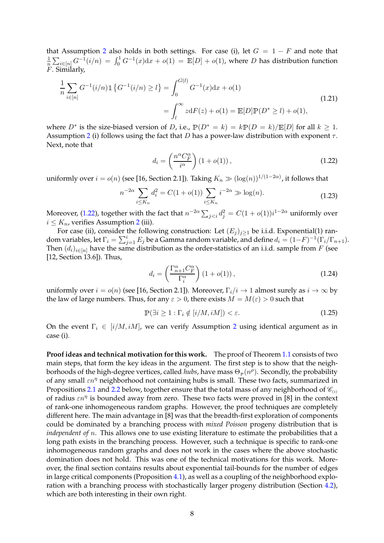that Assumption [2](#page-3-1) also holds in both settings. For case (i), let  $G = 1 - F$  and note that 1  $\frac{1}{n}\sum_{i\in [n]}G^{-1}(i/n) \,=\, \int_0^1 G^{-1}(x)\text{d}x + o(1) \,=\, \mathbb{E}[D] + o(1)$ , where  $D$  has distribution function F. Similarly,

$$
\frac{1}{n} \sum_{i \in [n]} G^{-1}(i/n) \mathbb{1} \left\{ G^{-1}(i/n) \ge l \right\} = \int_0^{G(l)} G^{-1}(x) dx + o(1)
$$
\n
$$
= \int_l^{\infty} z dF(z) + o(1) = \mathbb{E}[D] \mathbb{P}(D^* \ge l) + o(1),
$$
\n(1.21)

where  $D^*$  is the size-biased version of D, i.e.,  $\mathbb{P}(D^* = k) = k\mathbb{P}(D = k)/\mathbb{E}[D]$  for all  $k \geq 1$ . Assumption [2](#page-3-1) (i) follows using the fact that D has a power-law distribution with exponent  $\tau$ . Next, note that

$$
d_i = \left(\frac{n^{\alpha} C_F^{\alpha}}{i^{\alpha}}\right) (1 + o(1)),\tag{1.22}
$$

<span id="page-7-0"></span>uniformly over  $i = o(n)$  (see [\[16](#page-23-6), Section 2.1]). Taking  $K_n \gg (\log(n))^{1/(1-2\alpha)}$ , it follows that

$$
n^{-2\alpha} \sum_{i \le K_n} d_i^2 = C(1 + o(1)) \sum_{i \le K_n} i^{-2\alpha} \gg \log(n). \tag{1.23}
$$

Moreover, [\(1.22\)](#page-7-0), together with the fact that  $n^{-2\alpha}\sum_{j uniformly over$  $i \leq K_n$ , verifies Assumption [2](#page-3-1) (iii).

For case (ii), consider the following construction: Let  $(E_j)_{j\geq 1}$  be i.i.d. Exponential(1) random variables, let  $\Gamma_i = \sum_{j=1}^i E_j$  be a Gamma random variable, and define  $d_i = (1 - F)^{-1}(\Gamma_i/\Gamma_{n+1})$ . Then  $(d_i)_{i\in[n]}$  have the same distribution as the order-statistics of an i.i.d. sample from F (see [\[12](#page-23-19), Section 13.6]). Thus,

$$
d_i = \left(\frac{\Gamma_{n+1}^{\alpha} C_F^{\alpha}}{\Gamma_i^{\alpha}}\right) (1 + o(1)),\tag{1.24}
$$

uniformly over  $i = o(n)$  (see [\[16](#page-23-6), Section 2.1]). Moreover,  $\Gamma_i/i \to 1$  almost surely as  $i \to \infty$  by the law of large numbers. Thus, for any  $\varepsilon > 0$ , there exists  $M = M(\varepsilon) > 0$  such that

$$
\mathbb{P}(\exists i \ge 1 : \Gamma_i \notin [i/M, iM]) < \varepsilon. \tag{1.25}
$$

On the event  $\Gamma_i \in [i/M, iM]$ , we can verify Assumption [2](#page-3-1) using identical argument as in case (i).

**Proof ideas and technical motivation for this work.** The proof of Theorem [1.1](#page-3-0) consists of two main steps, that form the key ideas in the argument. The first step is to show that the neighborhoods of the high-degree vertices, called *hubs,* have mass  $\Theta_{\mathbb{P}}(n^{\rho})$ . Secondly, the probability of any small  $\epsilon n^{\eta}$  neighborhood not containing hubs is small. These two facts, summarized in Propositions [2.1](#page-8-0) and [2.2](#page-8-1) below, together ensure that the total mass of any neighborhood of  $\mathcal{C}_{(i)}$ of radius  $\epsilon n^{\eta}$  is bounded away from zero. These two facts were proved in [\[8](#page-23-10)] in the context of rank-one inhomogeneous random graphs. However, the proof techniques are completely different here. The main advantage in [\[8\]](#page-23-10) was that the breadth-first exploration of components could be dominated by a branching process with *mixed Poisson* progeny distribution that is *independent of n*. This allows one to use existing literature to estimate the probabilities that a long path exists in the branching process. However, such a technique is specific to rank-one inhomogeneous random graphs and does not work in the cases where the above stochastic domination does not hold. This was one of the technical motivations for this work. Moreover, the final section contains results about exponential tail-bounds for the number of edges in large critical components (Proposition [4.1\)](#page-11-0), as well as a coupling of the neighborhood explo-ration with a branching process with stochastically larger progeny distribution (Section [4.2\)](#page-13-0), which are both interesting in their own right.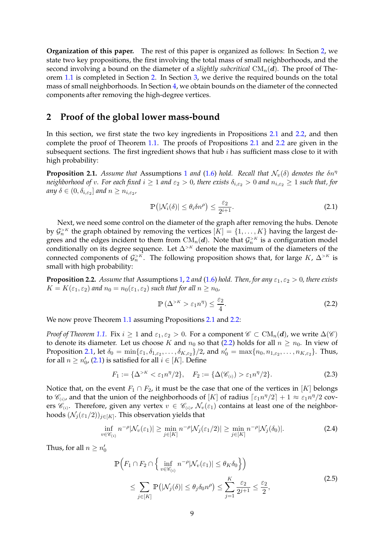**Organization of this paper.** The rest of this paper is organized as follows: In Section [2,](#page-8-2) we state two key propositions, the first involving the total mass of small neighborhoods, and the second involving a bound on the diameter of a *slightly subcritical*  $CM_n(d)$ . The proof of Theorem [1.1](#page-3-0) is completed in Section [2.](#page-8-2) In Section [3,](#page-9-0) we derive the required bounds on the total mass of small neighborhoods. In Section [4,](#page-11-1) we obtain bounds on the diameter of the connected components after removing the high-degree vertices.

### <span id="page-8-2"></span>**2 Proof of the global lower mass-bound**

In this section, we first state the two key ingredients in Propositions [2.1](#page-8-0) and [2.2,](#page-8-1) and then complete the proof of Theorem [1.1.](#page-3-0) The proofs of Propositions [2.1](#page-8-0) and [2.2](#page-8-1) are given in the subsequent sections. The first ingredient shows that hub  $i$  has sufficient mass close to it with high probability:

<span id="page-8-0"></span>**Proposition 2.[1](#page-2-0).** *Assume that* Assumptions 1 *and* [\(1.6\)](#page-2-1) *hold.* Recall that  $\mathcal{N}_v(\delta)$  denotes the  $\delta n^{\eta}$ *neighborhood of v. For each fixed*  $i \ge 1$  *and*  $\varepsilon_2 > 0$ *, there exists*  $\delta_{i,\varepsilon_2} > 0$  *and*  $n_{i,\varepsilon_2} \ge 1$  *such that, for* any  $\delta \in (0, \delta_{i, \varepsilon_2}]$  and  $n \geq n_{i, \varepsilon_2}$ ,

<span id="page-8-4"></span>
$$
\mathbb{P}\left(|\mathcal{N}_i(\delta)| \le \theta_i \delta n^{\rho}\right) \le \frac{\varepsilon_2}{2^{i+1}}.\tag{2.1}
$$

Next, we need some control on the diameter of the graph after removing the hubs. Denote by  $\mathcal{G}_n^{>K}$  the graph obtained by removing the vertices  $[K] = \{1, \ldots, K\}$  having the largest degrees and the edges incident to them from  $\text{CM}_n(d)$ . Note that  $\mathcal{G}_n^{>K}$  is a configuration model conditionally on its degree sequence. Let  $\Delta^{&>}$  denote the maximum of the diameters of the connected components of  $\mathcal{G}_n^{>K}$ . The following proposition shows that, for large  $K$ ,  $\Delta^{>K}$  is small with high probability:

<span id="page-8-1"></span>**Proposition [2](#page-3-1).2.** *Assume that* Assumptions [1,](#page-2-0) 2 *and* [\(1.6\)](#page-2-1) *hold. Then, for any*  $\varepsilon_1$ ,  $\varepsilon_2 > 0$ *, there exists*  $K = K(\varepsilon_1, \varepsilon_2)$  and  $n_0 = n_0(\varepsilon_1, \varepsilon_2)$  such that for all  $n \ge n_0$ ,

<span id="page-8-3"></span>
$$
\mathbb{P}\left(\Delta^{>K} > \varepsilon_1 n^{\eta}\right) \le \frac{\varepsilon_2}{4}.\tag{2.2}
$$

We now prove Theorem [1.1](#page-3-0) assuming Propositions [2.1](#page-8-0) and [2.2:](#page-8-1)

*Proof of Theorem* [1.1.](#page-3-0) Fix  $i \geq 1$  and  $\varepsilon_1, \varepsilon_2 > 0$ . For a component  $\mathscr{C} \subset \mathrm{CM}_n(d)$ , we write  $\Delta(\mathscr{C})$ to denote its diameter. Let us choose K and  $n_0$  so that [\(2.2\)](#page-8-3) holds for all  $n \geq n_0$ . In view of Proposition [2.1,](#page-8-0) let  $\delta_0 = \min\{\varepsilon_1, \delta_{1,\varepsilon_2}, \dots, \delta_{K,\varepsilon_2}\}/2$ , and  $n'_0 = \max\{n_0, n_{1,\varepsilon_2}, \dots, n_{K,\varepsilon_2}\}.$  Thus, for all  $n \geq n'_0$ , [\(2.1\)](#page-8-4) is satisfied for all  $i \in [K]$ . Define

$$
F_1 := \{ \Delta^{>K} < \varepsilon_1 n^{\eta}/2 \}, \quad F_2 := \{ \Delta(\mathscr{C}_{(i)}) > \varepsilon_1 n^{\eta}/2 \}. \tag{2.3}
$$

Notice that, on the event  $F_1 \cap F_2$ , it must be the case that one of the vertices in [K] belongs to  $\mathscr{C}_{(i)}$ , and that the union of the neighborhoods of [K] of radius  $\lceil \varepsilon_1 n^{\eta}/2 \rceil + 1 \approx \varepsilon_1 n^{\eta}/2$  covers  $\mathscr{C}_{(i)}$ . Therefore, given any vertex  $v \in \mathscr{C}_{(i)}$ ,  $\mathcal{N}_v(\varepsilon_1)$  contains at least one of the neighborhoods  $(\mathcal{N}_j(\varepsilon_1/2))_{j\in [K]}$ . This observation yields that

$$
\inf_{v \in \mathscr{C}_{(i)}} n^{-\rho} |\mathcal{N}_v(\varepsilon_1)| \ge \min_{j \in [K]} n^{-\rho} |\mathcal{N}_j(\varepsilon_1/2)| \ge \min_{j \in [K]} n^{-\rho} |\mathcal{N}_j(\delta_0)|. \tag{2.4}
$$

<span id="page-8-5"></span>Thus, for all  $n \geq n'_0$ 

$$
\mathbb{P}\left(F_1 \cap F_2 \cap \left\{\inf_{v \in \mathscr{C}_{(i)}} n^{-\rho} |\mathcal{N}_v(\varepsilon_1)| \le \theta_K \delta_0\right\}\right)
$$
\n
$$
\le \sum_{j \in [K]} \mathbb{P}\left(|\mathcal{N}_j(\delta)| \le \theta_j \delta_0 n^{\rho}\right) \le \sum_{j=1}^K \frac{\varepsilon_2}{2^{j+1}} \le \frac{\varepsilon_2}{2},\tag{2.5}
$$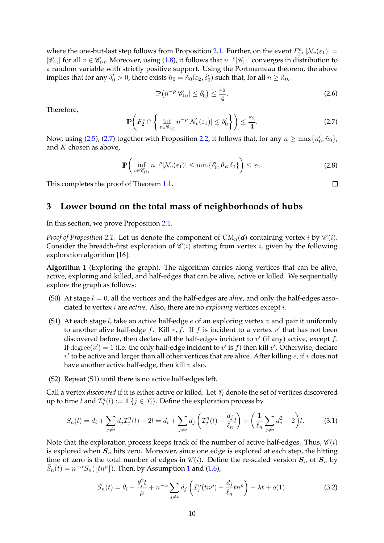where the one-but-last step follows from Proposition [2.1.](#page-8-0) Further, on the event  $F_2^c$ ,  $|\mathcal{N}_v(\varepsilon_1)|$  =  $|\mathscr{C}_{(i)}|$  for all  $v \in \mathscr{C}_{(i)}$ . Moreover, using [\(1.8\)](#page-2-4), it follows that  $n^{-\rho}|\mathscr{C}_{(i)}|$  converges in distribution to a random variable with strictly positive support. Using the Portmanteau theorem, the above implies that for any  $\delta'_0>0$ , there exists  $\tilde{n}_0=\tilde{n}_0(\varepsilon_2,\delta'_0)$  such that, for all  $n\geq \tilde{n}_0$ ,

$$
\mathbb{P}\left(n^{-\rho}|\mathscr{C}_{(i)}| \le \delta_0'\right) \le \frac{\varepsilon_2}{4}.\tag{2.6}
$$

Therefore,

<span id="page-9-1"></span>
$$
\mathbb{P}\left(F_2^c \cap \left\{\inf_{v \in \mathscr{C}_{(i)}} n^{-\rho} |\mathcal{N}_v(\varepsilon_1)| \le \delta_0' \right\}\right) \le \frac{\varepsilon_2}{4}.\tag{2.7}
$$

Now, using [\(2.5\)](#page-8-5), [\(2.7\)](#page-9-1) together with Proposition [2.2,](#page-8-1) it follows that, for any  $n \ge \max\{n_0', \tilde{n}_0\}$ , and  $K$  chosen as above,

$$
\mathbb{P}\left(\inf_{v\in\mathscr{C}_{(i)}}n^{-\rho}|\mathcal{N}_v(\varepsilon_1)|\leq \min\{\delta'_0,\theta_K\delta_0\}\right)\leq \varepsilon_2.
$$
\n(2.8)

This completes the proof of Theorem [1.1.](#page-3-0)

## <span id="page-9-0"></span>**3 Lower bound on the total mass of neighborhoods of hubs**

In this section, we prove Proposition [2.1.](#page-8-0)

*Proof of Proposition* [2.1.](#page-8-0) Let us denote the component of  $CM_n(d)$  containing vertex i by  $\mathcal{C}(i)$ . Consider the breadth-first exploration of  $\mathcal{C}(i)$  starting from vertex *i*, given by the following exploration algorithm [\[16](#page-23-6)]:

<span id="page-9-2"></span>**Algorithm 1** (Exploring the graph)**.** The algorithm carries along vertices that can be alive, active, exploring and killed, and half-edges that can be alive, active or killed. We sequentially explore the graph as follows:

- (S0) At stage  $l = 0$ , all the vertices and the half-edges are *alive*, and only the half-edges associated to vertex i are *active*. Also, there are no *exploring* vertices except i.
- (S1) At each stage l, take an active half-edge  $e$  of an exploring vertex  $v$  and pair it uniformly to another alive half-edge  $f$ . Kill  $e, f$ . If  $f$  is incident to a vertex  $v'$  that has not been discovered before, then declare all the half-edges incident to  $v'$  (if any) active, except  $f$ . If  $degree(v') = 1$  (i.e. the only half-edge incident to  $v'$  is  $f$ ) then kill  $v'$ . Otherwise, declare  $v'$  to be active and larger than all other vertices that are alive. After killing  $e$ , if  $v$  does not have another active half-edge, then kill  $v$  also.
- (S2) Repeat (S1) until there is no active half-edges left.

Call a vertex *discovered* if it is either active or killed. Let  $\mathcal{V}_l$  denote the set of vertices discovered up to time l and  $\mathcal{I}_j^n(l) := \mathbbm{1}\{j \in \mathcal{V}_l\}$ . Define the exploration process by

<span id="page-9-3"></span>
$$
S_n(l) = d_i + \sum_{j \neq i} d_j T_j^n(l) - 2l = d_i + \sum_{j \neq i} d_j \left( T_j^n(l) - \frac{d_j}{\ell_n} l \right) + \left( \frac{1}{\ell_n} \sum_{j \neq i} d_j^2 - 2 \right) l. \tag{3.1}
$$

Note that the exploration process keeps track of the number of active half-edges. Thus,  $\mathcal{C}(i)$ is explored when  $S_n$  hits zero. Moreover, since one edge is explored at each step, the hitting time of zero is the total number of edges in  $\mathscr{C}(i)$ . Define the re-scaled version  $\bar{S}_n$  of  $S_n$  by  $\bar{S}_n(t) = n^{-\alpha} S_n(\lfloor tn^\rho \rfloor)$ . Then, by Assumption [1](#page-2-0) and [\(1.6\)](#page-2-1),

$$
\bar{S}_n(t) = \theta_i - \frac{\theta_i^2 t}{\mu} + n^{-\alpha} \sum_{j \neq i} d_j \left( \mathcal{I}_j^n(t n^{\rho}) - \frac{d_j}{\ell_n} t n^{\rho} \right) + \lambda t + o(1). \tag{3.2}
$$

 $\Box$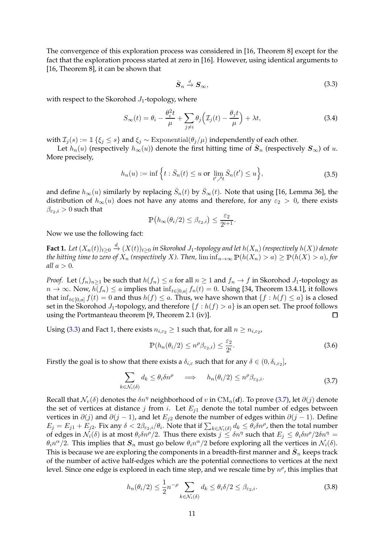The convergence of this exploration process was considered in [\[16,](#page-23-6) Theorem 8] except for the fact that the exploration process started at zero in [\[16](#page-23-6)]. However, using identical arguments to [\[16](#page-23-6), Theorem 8], it can be shown that

$$
\bar{S}_n \stackrel{d}{\to} S_\infty,\tag{3.3}
$$

<span id="page-10-0"></span>with respect to the Skorohod  $J_1$ -topology, where

$$
S_{\infty}(t) = \theta_i - \frac{\theta_i^2 t}{\mu} + \sum_{j \neq i} \theta_j \left( \mathcal{I}_j(t) - \frac{\theta_j t}{\mu} \right) + \lambda t,
$$
\n(3.4)

with  $\mathcal{I}_i(s) := \mathbb{1}\{\xi_i \leq s\}$  and  $\xi_i \sim \text{Exponential}(\theta_i/\mu)$  independently of each other.

Let  $h_n(u)$  (respectively  $h_{\infty}(u)$ ) denote the first hitting time of  $\bar{S}_n$  (respectively  $S_{\infty}$ ) of u. More precisely,

$$
h_n(u) := \inf \left\{ t : \bar{S}_n(t) \le u \text{ or } \lim_{t' \nearrow t} \bar{S}_n(t') \le u \right\},\tag{3.5}
$$

and define  $h_{\infty}(u)$  similarly by replacing  $\bar{S}_n(t)$  by  $\bar{S}_{\infty}(t)$ . Note that using [\[16,](#page-23-6) Lemma 36], the distribution of  $h_{\infty}(u)$  does not have any atoms and therefore, for any  $\varepsilon_2 > 0$ , there exists  $\beta_{\varepsilon_2,i} > 0$  such that

$$
\mathbb{P}\big(h_{\infty}(\theta_i/2) \leq \beta_{\varepsilon_2,i}\big) \leq \frac{\varepsilon_2}{2^{i+1}}.
$$

<span id="page-10-1"></span>Now we use the following fact:

 ${\bf Fact \ 1.}$   $Let$   $(X_n(t))_{t\geq 0}$   $\stackrel{d}{\to}$   $(X(t))_{t\geq 0}$  in Skorohod  $J_1$ -topology and let  $h(X_n)$  (respectively  $h(X)$ ) denote *the hitting time to zero of*  $X_n$  *(respectively X). Then,*  $\liminf_{n\to\infty} P(h(X_n) > a) \geq P(h(X) > a)$ *, for all*  $a > 0$ *.* 

*Proof.* Let  $(f_n)_{n>1}$  be such that  $h(f_n) \le a$  for all  $n \ge 1$  and  $f_n \to f$  in Skorohod  $J_1$ -topology as  $n \to \infty$ . Now,  $h(f_n) \le a$  implies that  $\inf_{t \in [0,a]} f_n(t) = 0$ . Using [\[34,](#page-24-5) Theorem 13.4.1], it follows that  $\inf_{t\in[0,a]} f(t) = 0$  and thus  $h(f) \le a$ . Thus, we have shown that  $\{f : h(f) \le a\}$  is a closed set in the Skorohod  $J_1$ -topology, and therefore  $\{f : h(f) > a\}$  is an open set. The proof follows using the Portmanteau theorem [9, Theorem 2.1 (iv)]. using the Portmanteau theorem [\[9,](#page-23-20) Theorem 2.1 (iv)].

Using [\(3.3\)](#page-10-0) and Fact [1,](#page-10-1) there exists  $n_{i,\varepsilon_2} \geq 1$  such that, for all  $n \geq n_{i,\varepsilon_2}$ ,

$$
\mathbb{P}(h_n(\theta_i/2) \le n^{\rho}\beta_{\varepsilon_2,i}) \le \frac{\varepsilon_2}{2^i}.
$$
\n(3.6)

Firstly the goal is to show that there exists a  $\delta_{i,\varepsilon}$  such that for any  $\delta\in(0,\delta_{i,\varepsilon_2}]$ ,

$$
\sum_{k \in \mathcal{N}_i(\delta)} d_k \le \theta_i \delta n^{\rho} \quad \Longrightarrow \quad h_n(\theta_i/2) \le n^{\rho} \beta_{\varepsilon_2, i}.
$$
\n(3.7)

<span id="page-10-2"></span>Recall that  $\mathcal{N}_v(\delta)$  denotes the  $\delta n^{\eta}$  neighborhood of v in CM<sub>n</sub>(d). To prove [\(3.7\)](#page-10-2), let  $\partial(j)$  denote the set of vertices at distance j from i. Let  $E_{i1}$  denote the total number of edges between vertices in  $\partial(j)$  and  $\partial(j-1)$ , and let  $E_{i2}$  denote the number of edges within  $\partial(j-1)$ . Define  $E_j=E_{j1}+E_{j2}$ . Fix any  $\delta<2\beta_{\varepsilon_2,i}/\theta_i$ . Note that if  $\sum_{k\in\mathcal{N}_i(\delta)}d_k\leq \theta_i\delta n^\rho$ , then the total number of edges in  $\mathcal{N}_i(\delta)$  is at most  $\theta_i \delta n^{\rho}/2$ . Thus there exists  $j \leq \delta n^{\eta}$  such that  $E_j \leq \theta_i \delta n^{\rho}/2\delta n^{\eta} =$  $\theta_i n^{\alpha}/2$ . This implies that  $S_n$  must go below  $\theta_i n^{\alpha}/2$  before exploring all the vertices in  $\mathcal{N}_i(\delta)$ . This is because we are exploring the components in a breadth-first manner and  $\bar{\bm{S}}_n$  keeps track of the number of active half-edges which are the potential connections to vertices at the next level. Since one edge is explored in each time step, and we rescale time by  $n^{\rho}$ , this implies that

$$
h_n(\theta_i/2) \le \frac{1}{2} n^{-\rho} \sum_{k \in \mathcal{N}_i(\delta)} d_k \le \theta_i \delta/2 \le \beta_{\varepsilon_2, i}.
$$
 (3.8)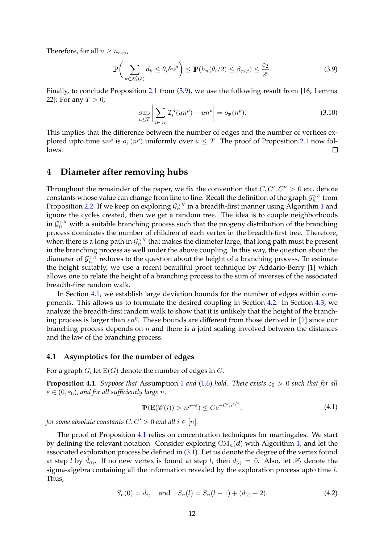Therefore, for all  $n \geq n_{i,\varepsilon_2}$ ,

<span id="page-11-2"></span>
$$
\mathbb{P}\bigg(\sum_{k\in\mathcal{N}_i(\delta)}d_k \leq \theta_i \delta n^{\rho}\bigg) \leq \mathbb{P}(h_n(\theta_i/2) \leq \beta_{\varepsilon_2,i}) \leq \frac{\varepsilon_2}{2^i}.\tag{3.9}
$$

Finally, to conclude Proposition [2.1](#page-8-0) from [\(3.9\)](#page-11-2), we use the following result from [\[16](#page-23-6), Lemma 22]: For any  $T > 0$ ,

$$
\sup_{u \le T} \left| \sum_{i \in [n]} \mathcal{I}_i^n(un^\rho) - un^\rho \right| = o_\mathbb{P}(n^\rho). \tag{3.10}
$$

This implies that the difference between the number of edges and the number of vertices explored upto time  $un^{\rho}$  is  $o_{\mathbb{P}}(n^{\rho})$  uniformly over  $u \leq T$ . The proof of Proposition [2.1](#page-8-0) now follows.  $\Box$ 

### <span id="page-11-1"></span>**4 Diameter after removing hubs**

Throughout the remainder of the paper, we fix the convention that  $C, C', C'' > 0$  etc. denote constants whose value can change from line to line. Recall the definition of the graph  $\mathcal{G}^{>K}_n$  from Proposition [2.2.](#page-8-1) If we keep on exploring  $\mathcal{G}^{>K}_n$  in a breadth-first manner using Algorithm [1](#page-9-2) and ignore the cycles created, then we get a random tree. The idea is to couple neighborhoods in  $\mathcal{G}_n^{>K}$  with a suitable branching process such that the progeny distribution of the branching process dominates the number of children of each vertex in the breadth-first tree. Therefore, when there is a long path in  $\mathcal{G}_n^{>K}$  that makes the diameter large, that long path must be present in the branching process as well under the above coupling. In this way, the question about the diameter of  $\mathcal{G}_n^{>K}$  reduces to the question about the height of a branching process. To estimate the height suitably, we use a recent beautiful proof technique by Addario-Berry [\[1](#page-23-21)] which allows one to relate the height of a branching process to the sum of inverses of the associated breadth-first random walk.

In Section [4.1,](#page-11-3) we establish large deviation bounds for the number of edges within components. This allows us to formulate the desired coupling in Section [4.2.](#page-13-0) In Section [4.3,](#page-15-0) we analyze the breadth-first random walk to show that it is unlikely that the height of the branching process is larger than  $\epsilon n^{\eta}$ . These bounds are different from those derived in [\[1](#page-23-21)] since our branching process depends on  $n$  and there is a joint scaling involved between the distances and the law of the branching process.

### <span id="page-11-3"></span>**4.1 Asymptotics for the number of edges**

<span id="page-11-0"></span>For a graph  $G$ , let  $E(G)$  denote the number of edges in  $G$ .

**Proposition 4.[1](#page-2-0).** *Suppose that* Assumption 1 *and* [\(1.6\)](#page-2-1) *hold. There exists*  $\varepsilon_0 > 0$  *such that for all*  $\varepsilon \in (0, \varepsilon_0)$ , and for all sufficiently large *n*,

$$
\mathbb{P}(\mathcal{E}(\mathscr{C}(i)) > n^{\rho + \varepsilon}) \le C e^{-C'n^{\varepsilon/2}},\tag{4.1}
$$

*for some absolute constants*  $C, C' > 0$  *and all*  $i \in [n]$ *.* 

The proof of Proposition [4.1](#page-11-0) relies on concentration techniques for martingales. We start by defining the relevant notation. Consider exploring  $CM_n(d)$  with Algorithm [1,](#page-9-2) and let the associated exploration process be defined in [\(3.1\)](#page-9-3). Let us denote the degree of the vertex found at step l by  $\bar{d}_{(l)}$ . If no new vertex is found at step l, then  $d_{(l)} = 0$ . Also, let  $\mathscr{F}_l$  denote the sigma-algebra containing all the information revealed by the exploration process upto time  $l$ . Thus,

$$
S_n(0) = d_i, \quad \text{and} \quad S_n(l) = S_n(l-1) + (d_{(l)} - 2). \tag{4.2}
$$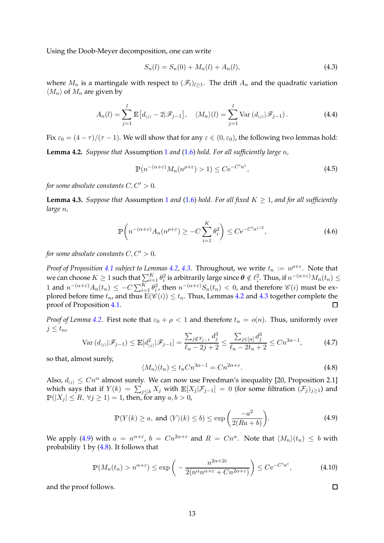Using the Doob-Meyer decomposition, one can write

$$
S_n(l) = S_n(0) + M_n(l) + A_n(l),
$$
\n(4.3)

where  $M_n$  is a martingale with respect to  $(\mathscr{F}_l)_{l>1}$ . The drift  $A_n$  and the quadratic variation  $\langle M_n \rangle$  of  $M_n$  are given by

$$
A_n(l) = \sum_{j=1}^{l} \mathbb{E}\left[d_{(j)} - 2|\mathscr{F}_{j-1}\right], \quad \langle M_n \rangle(l) = \sum_{j=1}^{l} \text{Var}\left(d_{(j)}|\mathscr{F}_{j-1}\right).
$$
 (4.4)

<span id="page-12-0"></span>Fix  $\varepsilon_0 = (4 - \tau)/(\tau - 1)$ . We will show that for any  $\varepsilon \in (0, \varepsilon_0)$ , the following two lemmas hold: **Lemma 4.2.** *Suppose that* Assumption [1](#page-2-0) *and* [\(1.6\)](#page-2-1) *hold. For all sufficiently large* n*,*

$$
\mathbb{P}(n^{-(\alpha+\varepsilon)}M_n(n^{\rho+\varepsilon})>1) \le C e^{-C'n^{\varepsilon}},\tag{4.5}
$$

<span id="page-12-1"></span>*for some absolute constants*  $C, C' > 0$ *.* 

**Lemma 4.3.** *Suppose that* Assumption [1](#page-2-0) *and* [\(1.6\)](#page-2-1) *hold. For all fixed*  $K \geq 1$ *, and for all sufficiently large* n*,*

$$
\mathbb{P}\left(n^{-(\alpha+\varepsilon)}A_n(n^{\rho+\varepsilon}) \ge -C\sum_{i=1}^K \theta_i^2\right) \le C e^{-C'n^{\varepsilon/2}},\tag{4.6}
$$

*for some absolute constants*  $C, C' > 0$ *.* 

*Proof of Proposition [4.1](#page-11-0) subject to Lemmas [4.2,](#page-12-0) [4.3.](#page-12-1)* Throughout, we write  $t_n := n^{\rho+\varepsilon}$ . Note that we can choose  $K\geq 1$  such that  $\sum_{i=1}^K\theta_i^2$  is arbitrarily large since  $\bm\theta\notin\ell^2_\downarrow$ . Thus, if  $n^{-(\alpha+\varepsilon)}M_n(t_n)\leq\ell^2_\downarrow$ 1 and  $n^{-(\alpha+\varepsilon)}A_n(t_n) \leq -C\sum_{i=1}^K \theta_i^2$ , then  $n^{-(\alpha+\varepsilon)}S_n(t_n) < 0$ , and therefore  $\mathscr{C}(i)$  must be explored before time  $t_n$ , and thus  $\mathbf{E}(\hat{\mathcal{C}}(i)) \leq t_n$ . Thus, Lemmas [4.2](#page-12-0) and [4.3](#page-12-1) together complete the proof of Proposition 4.1. proof of Proposition [4.1.](#page-11-0)

*Proof of Lemma* [4.2.](#page-12-0) First note that  $\varepsilon_0 + \rho < 1$  and therefore  $t_n = o(n)$ . Thus, uniformly over  $j \leq t_n$ 

$$
\text{Var}\left(d_{(j)}|\mathcal{F}_{j-1}\right) \le \mathbb{E}[d_{(j)}^2|\mathcal{F}_{j-1}] = \frac{\sum_{j \notin \mathcal{V}_{j-1}} d_j^3}{\ell_n - 2j + 2} \le \frac{\sum_{j \in [n]} d_j^3}{\ell_n - 2t_n + 2} \le Cn^{3\alpha - 1},\tag{4.7}
$$

so that, almost surely,

<span id="page-12-3"></span>
$$
\langle M_n \rangle (t_n) \le t_n C n^{3\alpha - 1} = C n^{2\alpha + \varepsilon}.
$$
\n(4.8)

Also,  $d_{(i)} \leq Cn^{\alpha}$  almost surely. We can now use Freedman's inequality [\[20](#page-23-22), Proposition 2.1] which says that if  $Y(k) = \sum_{j \leq k} X_j$  with  $\mathbb{E}[X_j | \mathcal{F}_{j-1}] = 0$  (for some filtration  $(\mathcal{F}_j)_{j \geq 1}$ ) and  $\mathbb{P}(|X_i| \leq R, \forall j \geq 1) = 1$ , then, for any  $a, b > 0$ ,

$$
\mathbb{P}(Y(k) \ge a, \text{ and } \langle Y \rangle(k) \le b) \le \exp\left(\frac{-a^2}{2(Ra+b)}\right). \tag{4.9}
$$

<span id="page-12-2"></span>We apply [\(4.9\)](#page-12-2) with  $a = n^{\alpha+\varepsilon}$ ,  $b = Cn^{2\alpha+\varepsilon}$  and  $R = Cn^{\alpha}$ . Note that  $\langle M_n \rangle (t_n) \leq b$  with probability 1 by [\(4.8\)](#page-12-3). It follows that

$$
\mathbb{P}(M_n(t_n) > n^{\alpha+\varepsilon}) \le \exp\left(-\frac{n^{2\alpha+2\varepsilon}}{2(n^{\alpha}n^{\alpha+\varepsilon} + Cn^{2\alpha+\varepsilon})}\right) \le C e^{-C'n^{\varepsilon}},\tag{4.10}
$$

and the proof follows.

 $\Box$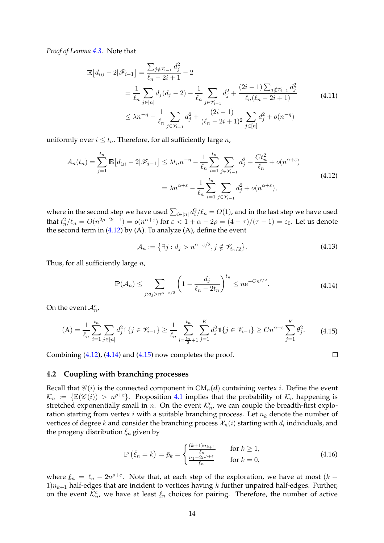*Proof of Lemma [4.3.](#page-12-1)* Note that

$$
\mathbb{E}\left[d_{(i)}-2|\mathcal{F}_{i-1}\right] = \frac{\sum_{j\notin\mathcal{V}_{i-1}}d_j^2}{\ell_n - 2i + 1} - 2
$$
\n
$$
= \frac{1}{\ell_n} \sum_{j \in [n]} d_j(d_j - 2) - \frac{1}{\ell_n} \sum_{j \in \mathcal{V}_{i-1}} d_j^2 + \frac{(2i-1)\sum_{j \notin \mathcal{V}_{i-1}}d_j^2}{\ell_n(\ell_n - 2i + 1)} \tag{4.11}
$$
\n
$$
\leq \lambda_n^{-\eta} - \frac{1}{\ell_n} \sum_{j \in \mathcal{V}_{i-1}} d_j^2 + \frac{(2i-1)}{(\ell_n - 2i + 1)^2} \sum_{j \in [n]} d_j^2 + o(n^{-\eta})
$$

uniformly over  $i \leq t_n$ . Therefore, for all sufficiently large *n*,

<span id="page-13-1"></span>
$$
A_n(t_n) = \sum_{j=1}^{t_n} \mathbb{E}\left[d_{(j)} - 2|\mathscr{F}_{j-1}\right] \le \lambda t_n n^{-\eta} - \frac{1}{\ell_n} \sum_{i=1}^{t_n} \sum_{j \in \mathscr{V}_{i-1}} d_j^2 + \frac{Ct_n^2}{\ell_n} + o(n^{\alpha + \varepsilon})
$$
  

$$
= \lambda n^{\alpha + \varepsilon} - \frac{1}{\ell_n} \sum_{i=1}^{t_n} \sum_{j \in \mathscr{V}_{i-1}} d_j^2 + o(n^{\alpha + \varepsilon}),
$$
(4.12)

where in the second step we have used  $\sum_{i\in [n]}d_i^2/\ell_n=O(1)$ , and in the last step we have used that  $t_n^2/\ell_n = O(n^{2\rho+2\varepsilon-1}) = o(n^{\alpha+\varepsilon})$  for  $\varepsilon < 1+\alpha-2\rho = (4-\tau)/(\tau-1) = \varepsilon_0$ . Let us denote the second term in  $(4.12)$  by  $(A)$ . To analyze  $(A)$ , define the event

$$
\mathcal{A}_n := \left\{ \exists j : d_j > n^{\alpha - \varepsilon/2}, j \notin \mathcal{V}_{t_n/2} \right\}. \tag{4.13}
$$

<span id="page-13-2"></span>Thus, for all sufficiently large  $n$ ,

$$
\mathbb{P}(\mathcal{A}_n) \le \sum_{j:d_j > n^{\alpha-\varepsilon/2}} \left(1 - \frac{d_j}{\ell_n - 2t_n}\right)^{t_n} \le n e^{-Cn^{\varepsilon/2}}.
$$
\n(4.14)

On the event  $A_n^c$ ,

<span id="page-13-3"></span>
$$
\text{(A)} = \frac{1}{\ell_n} \sum_{i=1}^{t_n} \sum_{j \in [n]} d_j^2 \mathbb{1} \{ j \in \mathcal{V}_{i-1} \} \ge \frac{1}{\ell_n} \sum_{i=\frac{t_n}{2}+1}^{t_n} \sum_{j=1}^K d_j^2 \mathbb{1} \{ j \in \mathcal{V}_{i-1} \} \ge C n^{\alpha + \varepsilon} \sum_{j=1}^K \theta_j^2. \tag{4.15}
$$

Combining  $(4.12)$ ,  $(4.14)$  and  $(4.15)$  now completes the proof.

 $\Box$ 

### <span id="page-13-0"></span>**4.2 Coupling with branching processes**

Recall that  $\mathscr{C}(i)$  is the connected component in  $CM_n(d)$  containing vertex *i*. Define the event  $\mathcal{K}_n := \{ \mathbb{E}(\mathscr{C}(i)) > n^{\rho+\varepsilon} \}.$  Proposition [4.1](#page-11-0) implies that the probability of  $\mathcal{K}_n$  happening is stretched exponentially small in *n*. On the event  $\mathcal{K}_n^c$ , we can couple the breadth-first exploration starting from vertex *i* with a suitable branching process. Let  $n_k$  denote the number of vertices of degree  $k$  and consider the branching process  $\mathcal{X}_n(i)$  starting with  $d_i$  individuals, and the progeny distribution  $\xi_n$  given by

$$
\mathbb{P}\left(\bar{\xi}_n = k\right) = \bar{p}_k = \begin{cases} \frac{(k+1)n_{k+1}}{\frac{\ell_n}{\ell_n}} & \text{for } k \ge 1, \\ \frac{n_1 - 2n^{\rho + \varepsilon}}{\frac{\ell_n}{\ell_n}} & \text{for } k = 0, \end{cases} \tag{4.16}
$$

<span id="page-13-4"></span>where  $\ell_n = \ell_n - 2n^{\rho+\varepsilon}$ . Note that, at each step of the exploration, we have at most  $(k +$  $1/n_{k+1}$  half-edges that are incident to vertices having k further unpaired half-edges. Further, on the event  $\mathcal{K}_n^c$ , we have at least  $\underline{\ell}_n$  choices for pairing. Therefore, the number of active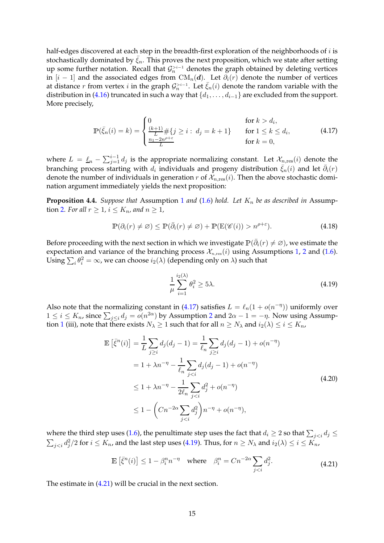half-edges discovered at each step in the breadth-first exploration of the neighborhoods of  $i$  is stochastically dominated by  $\bar{\xi}_n$ . This proves the next proposition, which we state after setting up some further notation. Recall that  $\mathcal{G}_n^{>i-1}$  denotes the graph obtained by deleting vertices in  $[i - 1]$  and the associated edges from CM<sub>n</sub>(*d*). Let  $\partial_i(r)$  denote the number of vertices at distance r from vertex *i* in the graph  $\mathcal{G}_n^{>i-1}$ . Let  $\bar{\xi}_n(i)$  denote the random variable with the distribution in [\(4.16\)](#page-13-4) truncated in such a way that  $\{d_1, \ldots, d_{i-1}\}$  are excluded from the support. More precisely,

$$
\mathbb{P}(\bar{\xi}_n(i) = k) = \begin{cases} 0 & \text{for } k > d_i, \\ \frac{\frac{(k+1)}{L} \# \{ j \ge i : d_j = k+1 \}}{\frac{n_1 - 2n^{\rho + \varepsilon}}{L}} & \text{for } 1 \le k \le d_i, \\ 0 & \text{for } k = 0, \end{cases}
$$
(4.17)

<span id="page-14-0"></span>where  $L = \underline{\ell}_n - \sum_{j=1}^{i-1} d_j$  is the appropriate normalizing constant. Let  $\mathcal{X}_{n,\text{res}}(i)$  denote the branching process starting with  $d_i$  individuals and progeny distribution  $\bar{\xi}_n(i)$  and let  $\bar{\partial}_i(r)$ denote the number of individuals in generation r of  $\mathcal{X}_{n, \text{res}}(i)$ . Then the above stochastic domination argument immediately yields the next proposition:

<span id="page-14-3"></span>**Proposition 4.4.** *Suppose that* Assumption [1](#page-2-0) *and* [\(1.6\)](#page-2-1) *hold.* Let  $K_n$  be as described in Assump-tion [2](#page-3-1)*. For all*  $r \geq 1$ ,  $i \leq K_n$ , and  $n \geq 1$ ,

$$
\mathbb{P}(\partial_i(r) \neq \varnothing) \leq \mathbb{P}(\bar{\partial}_i(r) \neq \varnothing) + \mathbb{P}(\mathbb{E}(\mathscr{C}(i)) > n^{\rho + \varepsilon}). \tag{4.18}
$$

Before proceeding with the next section in which we investigate  $\mathbb{P}(\bar{\partial}_i(r)\neq\varnothing)$ , we estimate the expectation and variance of the branching process  $\mathcal{X}_{n,\text{res}}(i)$  using Assumptions [1,](#page-2-0) [2](#page-3-1) and [\(1.6\)](#page-2-1). Using  $\sum_i \theta_i^2 = \infty$ , we can choose  $i_2(\lambda)$  (depending only on  $\lambda$ ) such that

<span id="page-14-1"></span>
$$
\frac{1}{\mu} \sum_{i=1}^{i_2(\lambda)} \theta_i^2 \ge 5\lambda. \tag{4.19}
$$

Also note that the normalizing constant in [\(4.17\)](#page-14-0) satisfies  $L = \ell_n(1 + o(n^{-\eta}))$  uniformly over  $1 \leq i \leq K_n$ , since  $\sum_{j \leq i} d_j = o(n^{2\alpha})$  $\sum_{j \leq i} d_j = o(n^{2\alpha})$  $\sum_{j \leq i} d_j = o(n^{2\alpha})$  by Assumption 2 and  $2\alpha - 1 = -\eta$ . Now using Assump-tion [1](#page-2-0) (iii), note that there exists  $N_\lambda \ge 1$  such that for all  $n \ge N_\lambda$  and  $i_2(\lambda) \le i \le K_n$ ,

$$
\mathbb{E}\left[\bar{\xi}^{n}(i)\right] = \frac{1}{L} \sum_{j \geq i} d_{j}(d_{j} - 1) = \frac{1}{\ell_{n}} \sum_{j \geq i} d_{j}(d_{j} - 1) + o(n^{-\eta})
$$
\n
$$
= 1 + \lambda n^{-\eta} - \frac{1}{\ell_{n}} \sum_{j < i} d_{j}(d_{j} - 1) + o(n^{-\eta})
$$
\n
$$
\leq 1 + \lambda n^{-\eta} - \frac{1}{2\ell_{n}} \sum_{j < i} d_{j}^{2} + o(n^{-\eta})
$$
\n
$$
\leq 1 - \left(Cn^{-2\alpha} \sum_{j < i} d_{j}^{2}\right) n^{-\eta} + o(n^{-\eta}), \tag{4.20}
$$

<span id="page-14-4"></span>where the third step uses [\(1.6\)](#page-2-1), the penultimate step uses the fact that  $d_i \geq 2$  so that  $\sum_{j < i} d_j \leq 1$  $\sum_{j for  $i\leq K_n$ , and the last step uses [\(4.19\)](#page-14-1). Thus, for  $n\geq N_\lambda$  and  $i_2(\lambda)\leq i\leq K_n$ ,$ 

$$
\mathbb{E}\left[\bar{\xi}^n(i)\right] \le 1 - \beta_i^n n^{-\eta} \quad \text{where} \quad \beta_i^n = C n^{-2\alpha} \sum_{j < i} d_j^2. \tag{4.21}
$$

<span id="page-14-2"></span>The estimate in [\(4.21\)](#page-14-2) will be crucial in the next section.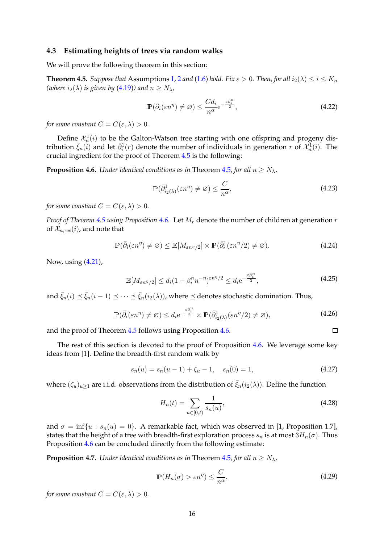#### <span id="page-15-0"></span>**4.3 Estimating heights of trees via random walks**

<span id="page-15-1"></span>We will prove the following theorem in this section:

**Theorem 4.5.** *Suppose that* Assumptions [1,](#page-2-0) [2](#page-3-1) *and* [\(1.6\)](#page-2-1) *hold. Fix*  $\varepsilon > 0$ . *Then, for all*  $i_2(\lambda) \le i \le K_n$ *(where*  $i_2(\lambda)$  *is given by* [\(4.19\)](#page-14-1)*)* and  $n \geq N_{\lambda}$ *,* 

$$
\mathbb{P}(\bar{\partial}_{i}(\varepsilon n^{\eta}) \neq \varnothing) \leq \frac{Cd_{i}}{n^{\alpha}} e^{-\frac{\varepsilon \beta_{i}^{\eta}}{2}},\tag{4.22}
$$

*for some constant*  $C = C(\varepsilon, \lambda) > 0$ *.* 

Define  $\mathcal{X}_n^1(i)$  to be the Galton-Watson tree starting with one offspring and progeny distribution  $\bar{\xi}_n(i)$  and let  $\bar{\partial}_i^1(r)$  denote the number of individuals in generation r of  $\mathcal{X}_n^1(i)$ . The crucial ingredient for the proof of Theorem [4.5](#page-15-1) is the following:

<span id="page-15-2"></span>**Proposition 4.6.** *Under identical conditions as in* Theorem [4.5](#page-15-1)*, for all*  $n \geq N_{\lambda}$ *,* 

$$
\mathbb{P}(\bar{\partial}_{i_2(\lambda)}^{1}(\varepsilon n^{\eta}) \neq \varnothing) \leq \frac{C}{n^{\alpha}},\tag{4.23}
$$

*for some constant*  $C = C(\varepsilon, \lambda) > 0$ *.* 

*Proof of Theorem [4.5](#page-15-1) using Proposition [4.6.](#page-15-2)* Let M<sup>r</sup> denote the number of children at generation r of  $\mathcal{X}_{n,\text{res}}(i)$ , and note that

$$
\mathbb{P}(\bar{\partial}_i(\varepsilon n^{\eta}) \neq \varnothing) \leq \mathbb{E}[M_{\varepsilon n^{\eta}/2}] \times \mathbb{P}(\bar{\partial}_i^1(\varepsilon n^{\eta}/2) \neq \varnothing). \tag{4.24}
$$

Now, using [\(4.21\)](#page-14-2),

$$
\mathbb{E}[M_{\varepsilon n^{\eta}/2}] \le d_i (1 - \beta_i^n n^{-\eta})^{\varepsilon n^{\eta}/2} \le d_i e^{-\frac{\varepsilon \beta_i^n}{2}}, \tag{4.25}
$$

and  $\bar{\xi}_n(i) \preceq \bar{\xi}_n(i-1) \preceq \cdots \preceq \bar{\xi}_n(i_2(\lambda))$ , where  $\preceq$  denotes stochastic domination. Thus,

$$
\mathbb{P}(\bar{\partial}_{i}(\varepsilon n^{\eta}) \neq \varnothing) \leq d_{i} e^{-\frac{\varepsilon \beta_{i}^{n}}{2}} \times \mathbb{P}(\bar{\partial}_{i_{2}(\lambda)}^{1}(\varepsilon n^{\eta}/2) \neq \varnothing), \tag{4.26}
$$

and the proof of Theorem [4.5](#page-15-1) follows using Proposition [4.6.](#page-15-2)

The rest of this section is devoted to the proof of Proposition [4.6.](#page-15-2) We leverage some key ideas from [\[1](#page-23-21)]. Define the breadth-first random walk by

<span id="page-15-3"></span>
$$
s_n(u) = s_n(u-1) + \zeta_u - 1, \quad s_n(0) = 1,
$$
\n(4.27)

where  $(\zeta_u)_{u>1}$  are i.i.d. observations from the distribution of  $\bar{\zeta}_n(i_2(\lambda))$ . Define the function

$$
H_n(t) = \sum_{u \in [0,t)} \frac{1}{s_n(u)},\tag{4.28}
$$

 $\Box$ 

and  $\sigma = \inf\{u : s_n(u) = 0\}$ . A remarkable fact, which was observed in [\[1](#page-23-21), Proposition 1.7], states that the height of a tree with breadth-first exploration process  $s_n$  is at most  $3H_n(\sigma)$ . Thus Proposition [4.6](#page-15-2) can be concluded directly from the following estimate:

<span id="page-15-4"></span>**Proposition 4.7.** *Under identical conditions as in Theorem [4.5](#page-15-1), for all*  $n \geq N_{\lambda}$ *,* 

$$
\mathbb{P}(H_n(\sigma) > \varepsilon n^{\eta}) \le \frac{C}{n^{\alpha}},\tag{4.29}
$$

*for some constant*  $C = C(\varepsilon, \lambda) > 0$ *.*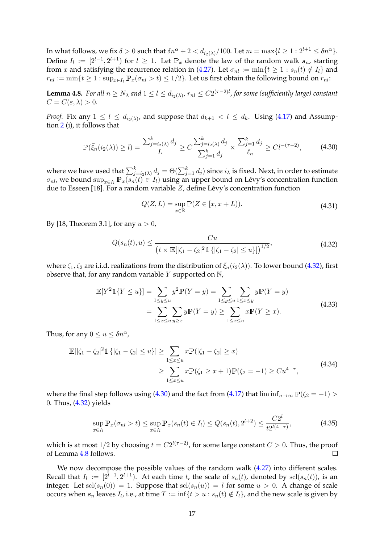In what follows, we fix  $\delta > 0$  such that  $\delta n^{\alpha} + 2 < d_{i_2(\lambda)}/100$ . Let  $m = \max\{l \geq 1 : 2^{l+1} \leq \delta n^{\alpha}\}.$ Define  $I_l := [2^{l-1}, 2^{l+1})$  for  $l \geq 1$ . Let  $\mathbb{P}_x$  denote the law of the random walk  $s_n$ , starting from x and satisfying the recurrence relation in [\(4.27\)](#page-15-3). Let  $\sigma_{nl} := \min\{t \geq 1 : s_n(t) \notin I_l\}$  and  $r_{nl} := \min\{t \geq 1 : \sup_{x \in I} \mathbb{P}_x(\sigma_{nl} > t) \leq 1/2\}$ . Let us first obtain the following bound on  $r_{nl}$ :

<span id="page-16-2"></span>**Lemma 4.8.** *For all*  $n \ge N_\lambda$  and  $1 \le l \le d_{i_2(\lambda)}$ ,  $r_{nl} \le C2^{(\tau-2)l}$ , for some (sufficiently large) constant  $C = C(\varepsilon, \lambda) > 0.$ 

*Proof.* Fix any  $1 \leq l \leq d_{i_2(\lambda)}$ , and suppose that  $d_{k+1} < l \leq d_k$ . Using [\(4.17\)](#page-14-0) and Assumption [2](#page-3-1) (i), it follows that

$$
\mathbb{P}(\bar{\xi}_n(i_2(\lambda)) \ge l) = \frac{\sum_{j=i_2(\lambda)}^k d_j}{L} \ge C \frac{\sum_{j=i_2(\lambda)}^k d_j}{\sum_{j=1}^k d_j} \times \frac{\sum_{j=1}^k d_j}{\ell_n} \ge C l^{-(\tau-2)},\tag{4.30}
$$

<span id="page-16-1"></span>where we have used that  $\sum_{j=i_2(\lambda)}^k d_j = \Theta(\sum_{j=1}^k d_j)$  since  $i_\lambda$  is fixed. Next, in order to estimate  $\sigma_{nl}$ , we bound  $\sup_{x\in I_l}\mathbb{P}_x(s_n(t)\in I_l)$  using an upper bound on Lévy's concentration function due to Esseen [\[18](#page-23-23)]. For a random variable  $Z$ , define Lévy's concentration function

$$
Q(Z, L) = \sup_{x \in \mathbb{R}} \mathbb{P}(Z \in [x, x + L)).
$$
\n(4.31)

<span id="page-16-0"></span>By [\[18,](#page-23-23) Theorem 3.1], for any  $u > 0$ ,

$$
Q(s_n(t), u) \le \frac{Cu}{(t \times \mathbb{E}[|\zeta_1 - \zeta_2|^2 \mathbb{1}\{|\zeta_1 - \zeta_2| \le u\}])^{1/2}},
$$
\n(4.32)

where  $\zeta_1, \zeta_2$  are i.i.d. realizations from the distribution of  $\bar{\zeta}_n(i_2(\lambda))$ . To lower bound [\(4.32\)](#page-16-0), first observe that, for any random variable  $Y$  supported on  $\mathbb{N}$ ,

$$
\mathbb{E}[Y^2 \mathbb{1}\{Y \le u\}] = \sum_{1 \le y \le u} y^2 \mathbb{P}(Y = y) = \sum_{1 \le y \le u} \sum_{1 \le x \le y} y \mathbb{P}(Y = y)
$$
  
= 
$$
\sum_{1 \le x \le u} \sum_{y \ge x} y \mathbb{P}(Y = y) \ge \sum_{1 \le x \le u} x \mathbb{P}(Y \ge x).
$$
 (4.33)

Thus, for any  $0 \le u \le \delta n^{\alpha}$ ,

$$
\mathbb{E}[\left|\zeta_{1}-\zeta_{2}\right|^{2} \mathbb{1}\left\{|\zeta_{1}-\zeta_{2}|\leq u\right\}] \geq \sum_{1\leq x\leq u} x \mathbb{P}(|\zeta_{1}-\zeta_{2}| \geq x) \geq \sum_{1\leq x\leq u} x \mathbb{P}(\zeta_{1} \geq x+1) \mathbb{P}(\zeta_{2}=-1) \geq Cu^{4-\tau},
$$
\n(4.34)

where the final step follows using [\(4.30\)](#page-16-1) and the fact from [\(4.17\)](#page-14-0) that  $\liminf_{n\to\infty} P(\zeta_2 = -1)$  > 0. Thus, [\(4.32\)](#page-16-0) yields

$$
\sup_{x \in I_l} \mathbb{P}_x(\sigma_{nl} > t) \le \sup_{x \in I_l} \mathbb{P}_x(s_n(t) \in I_l) \le Q(s_n(t), 2^{l+2}) \le \frac{C2^l}{t2^{l(4-\tau)}},\tag{4.35}
$$

which is at most 1/2 by choosing  $t = C2^{l(\tau-2)}$ , for some large constant  $C > 0$ . Thus, the proof of Lemma [4.8](#page-16-2) follows.  $\Box$ 

We now decompose the possible values of the random walk  $(4.27)$  into different scales. Recall that  $I_l := [2^{l-1}, 2^{l+1})$ . At each time t, the scale of  $s_n(t)$ , denoted by  $\text{sel}(s_n(t))$ , is an integer. Let  $\text{scl}(s_n(0)) = 1$ . Suppose that  $\text{scl}(s_n(u)) = l$  for some  $u > 0$ . A change of scale occurs when  $s_n$  leaves  $I_l$ , i.e., at time  $T := \inf\{t > u : s_n(t) \notin I_l\}$ , and the new scale is given by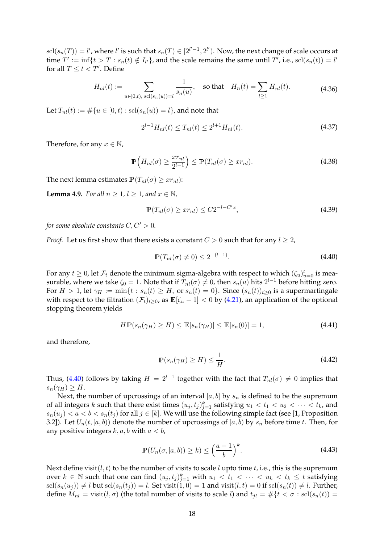$\mathrm{scl}(s_n(T)) = l'$ , where l' is such that  $s_n(T) \in [2^{l'-1}, 2^{l'})$ . Now, the next change of scale occurs at time  $T' := \inf\{t > T : s_n(t) \notin I_{l'}\}$ , and the scale remains the same until  $T'$ , i.e.,  $\text{sel}(s_n(t)) = l'$ for all  $T \leq t < T'$ . Define

$$
H_{nl}(t) := \sum_{u \in [0,t), \text{ scl}(s_n(u)) = l} \frac{1}{s_n(u)}, \text{ so that } H_n(t) = \sum_{l \ge 1} H_{nl}(t). \tag{4.36}
$$

Let  $T_{nl}(t) := \#\{u \in [0,t) : \text{scl}(s_n(u)) = l\}$ , and note that

$$
2^{l-1}H_{nl}(t) \le T_{nl}(t) \le 2^{l+1}H_{nl}(t). \tag{4.37}
$$

Therefore, for any  $x \in \mathbb{N}$ ,

<span id="page-17-4"></span>
$$
\mathbb{P}\left(H_{nl}(\sigma) \ge \frac{x r_{nl}}{2^{l-1}}\right) \le \mathbb{P}(T_{nl}(\sigma) \ge x r_{nl}).\tag{4.38}
$$

<span id="page-17-2"></span>The next lemma estimates  $P(T_{nl}(\sigma) \geq xr_{nl})$ :

**Lemma 4.9.** *For all*  $n \geq 1$ ,  $l \geq 1$ , and  $x \in \mathbb{N}$ ,

$$
\mathbb{P}(T_{nl}(\sigma) \geq xr_{nl}) \leq C2^{-l-C'x},\tag{4.39}
$$

*for some absolute constants*  $C, C' > 0$ *.* 

<span id="page-17-0"></span>*Proof.* Let us first show that there exists a constant  $C > 0$  such that for any  $l \geq 2$ ,

$$
\mathbb{P}(T_{nl}(\sigma) \neq 0) \leq 2^{-(l-1)}.
$$
\n(4.40)

For any  $t \geq 0$ , let  $\mathcal{F}_t$  denote the minimum sigma-algebra with respect to which  $(\zeta_u)_{u=0}^t$  is measurable, where we take  $\zeta_0 = 1$ . Note that if  $T_{nl}(\sigma) \neq 0$ , then  $s_n(u)$  hits  $2^{l-1}$  before hitting zero. For  $H > 1$ , let  $\gamma_H := \min\{t : s_n(t) \geq H$ , or  $s_n(t) = 0\}$ . Since  $(s_n(t))_{t>0}$  is a supermartingale with respect to the filtration  $(\mathcal{F}_t)_{t\geq 0}$ , as  $\mathbb{E}[\zeta_u - 1] < 0$  by [\(4.21\)](#page-14-2), an application of the optional stopping theorem yields

$$
H\mathbb{P}(s_n(\gamma_H) \ge H) \le \mathbb{E}[s_n(\gamma_H)] \le \mathbb{E}[s_n(0)] = 1,
$$
\n(4.41)

<span id="page-17-3"></span>and therefore,

$$
\mathbb{P}(s_n(\gamma_H) \ge H) \le \frac{1}{H}.\tag{4.42}
$$

Thus, [\(4.40\)](#page-17-0) follows by taking  $H = 2^{l-1}$  together with the fact that  $T_{nl}(\sigma) \neq 0$  implies that  $s_n(\gamma_H) \geq H$ .

Next, the number of upcrossings of an interval [a, b] by  $s_n$  is defined to be the supremum of all integers  $k$  such that there exist times  $(u_j,t_j)_{j=1}^k$  satisfying  $u_1 < t_1 < u_2 < \cdots < t_k$ , and  $s_n(u_j) < a < b < s_n(t_j)$  for all  $j \in [k]$ . We will use the following simple fact (see [\[1](#page-23-21), Proposition 3.2]). Let  $U_n(t, [a, b))$  denote the number of upcrossings of  $[a, b)$  by  $s_n$  before time t. Then, for any positive integers  $k$ ,  $a$ ,  $b$  with  $a < b$ ,

$$
\mathbb{P}(U_n(\sigma,[a,b)) \ge k) \le \left(\frac{a-1}{b}\right)^k. \tag{4.43}
$$

<span id="page-17-1"></span>Next define visit( $l, t$ ) to be the number of visits to scale  $l$  upto time  $t$ , i.e., this is the supremum over  $k \in \mathbb{N}$  such that one can find  $(u_j, t_j)_{j=1}^k$  with  $u_1 < t_1 < \cdots < u_k < t_k \leq t$  satisfying  $\text{sel}(s_n(u_i)) \neq l$  but  $\text{sel}(s_n(t_i)) = l$ . Set visit $(1, 0) = 1$  and visit $(l, t) = 0$  if  $\text{sel}(s_n(t)) \neq l$ . Further, define  $M_{nl} = \text{visit}(l, \sigma)$  (the total number of visits to scale l) and  $t_{jl} = #\{t < \sigma : \text{sel}(s_n(t)) =$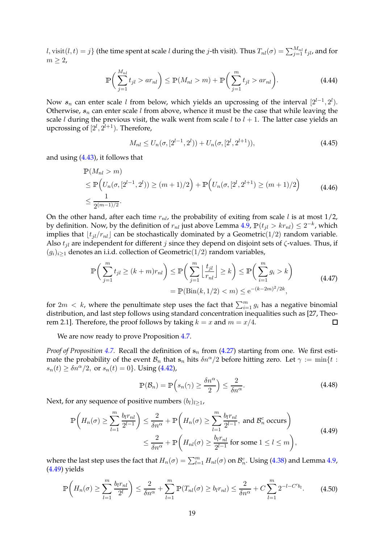$l,$  visit $(l,t)=j\}$  (the time spent at scale  $l$  during the  $j$ -th visit). Thus  $T_{nl}(\sigma)=\sum_{j=1}^{M_{nl}}t_{jl}$ , and for  $m \geq 2$ ,

$$
\mathbb{P}\bigg(\sum_{j=1}^{M_{nl}} t_{jl} > ar_{nl}\bigg) \le \mathbb{P}(M_{nl} > m) + \mathbb{P}\bigg(\sum_{j=1}^{m} t_{jl} > ar_{nl}\bigg). \tag{4.44}
$$

Now  $s_n$  can enter scale l from below, which yields an upcrossing of the interval  $[2^{l-1}, 2^l)$ . Otherwise,  $s_n$  can enter scale l from above, whence it must be the case that while leaving the scale *l* during the previous visit, the walk went from scale *l* to  $l + 1$ . The latter case yields an upcrossing of  $[2^l, 2^{l+1})$ . Therefore,

$$
M_{nl} \le U_n(\sigma, [2^{l-1}, 2^l]) + U_n(\sigma, [2^l, 2^{l+1})), \tag{4.45}
$$

and using [\(4.43\)](#page-17-1), it follows that

$$
\mathbb{P}(M_{nl} > m)
$$
\n
$$
\leq \mathbb{P}\Big(U_n(\sigma, [2^{l-1}, 2^l)) \geq (m+1)/2\Big) + \mathbb{P}\Big(U_n(\sigma, [2^l, 2^{l+1}) \geq (m+1)/2\Big)
$$
\n
$$
\leq \frac{1}{2^{(m-1)/2}}.
$$
\n(4.46)

On the other hand, after each time  $r_{nl}$ , the probability of exiting from scale l is at most 1/2, by definition. Now, by the definition of  $r_{nl}$  just above Lemma [4.9,](#page-17-2)  $\mathbb{P}(t_{jl} > k r_{nl}) \leq 2^{-k}$ , which implies that  $|t_{il}/r_{nl}|$  can be stochastically dominated by a Geometric(1/2) random variable. Also  $t_{il}$  are independent for different j since they depend on disjoint sets of  $\zeta$ -values. Thus, if  $(g_i)_{i\geq 1}$  denotes an i.i.d. collection of Geometric(1/2) random variables,

$$
\mathbb{P}\left(\sum_{j=1}^{m} t_{jl} \ge (k+m)r_{nl}\right) \le \mathbb{P}\left(\sum_{j=1}^{m} \left\lfloor \frac{t_{jl}}{r_{nl}} \right\rfloor \ge k\right) \le \mathbb{P}\left(\sum_{i=1}^{m} g_i > k\right)
$$
\n
$$
= \mathbb{P}(\text{Bin}(k, 1/2) < m) \le e^{-(k-2m)^2/2k},\tag{4.47}
$$

for  $2m < k$ , where the penultimate step uses the fact that  $\sum_{i=1}^{m} g_i$  has a negative binomial distribution, and last step follows using standard concentration inequalities such as [\[27](#page-23-24), Theorem 2.1]. Therefore, the proof follows by taking  $k = x$  and  $m = x/4$ .  $\Box$ 

We are now ready to prove Proposition [4.7.](#page-15-4)

*Proof of Proposition* [4.7.](#page-15-4) Recall the definition of  $s_n$  from  $(4.27)$  starting from one. We first estimate the probability of the event  $B_n$  that  $s_n$  hits  $\delta n^{\alpha}/2$  before hitting zero. Let  $\gamma := \min\{t :$  $s_n(t) \geq \delta n^{\alpha}/2$ , or  $s_n(t) = 0$ . Using [\(4.42\)](#page-17-3),

$$
\mathbb{P}(\mathcal{B}_n) = \mathbb{P}\left(s_n(\gamma) \ge \frac{\delta n^{\alpha}}{2}\right) \le \frac{2}{\delta n^{\alpha}}.\tag{4.48}
$$

Next, for any sequence of positive numbers  $(b_l)_{l\geq1}$ ,

$$
\mathbb{P}\left(H_n(\sigma) \ge \sum_{l=1}^m \frac{b_l r_{nl}}{2^{l-1}}\right) \le \frac{2}{\delta n^{\alpha}} + \mathbb{P}\left(H_n(\sigma) \ge \sum_{l=1}^m \frac{b_l r_{nl}}{2^{l-1}}, \text{ and } \mathcal{B}_n^c \text{ occurs}\right)
$$
\n
$$
\le \frac{2}{\delta n^{\alpha}} + \mathbb{P}\left(H_{nl}(\sigma) \ge \frac{b_l r_{nl}}{2^{l-1}} \text{ for some } 1 \le l \le m\right),
$$
\n(4.49)

<span id="page-18-0"></span>where the last step uses the fact that  $H_n(\sigma)=\sum_{l=1}^m H_{nl}(\sigma)$  on  $\mathcal{B}_n^c$ . Using [\(4.38\)](#page-17-4) and Lemma [4.9,](#page-17-2) [\(4.49\)](#page-18-0) yields

<span id="page-18-1"></span>
$$
\mathbb{P}\left(H_n(\sigma) \ge \sum_{l=1}^m \frac{b_l r_{nl}}{2^l}\right) \le \frac{2}{\delta n^{\alpha}} + \sum_{l=1}^m \mathbb{P}(T_{nl}(\sigma) \ge b_l r_{nl}) \le \frac{2}{\delta n^{\alpha}} + C \sum_{l=1}^m 2^{-l - C'b_l}.\tag{4.50}
$$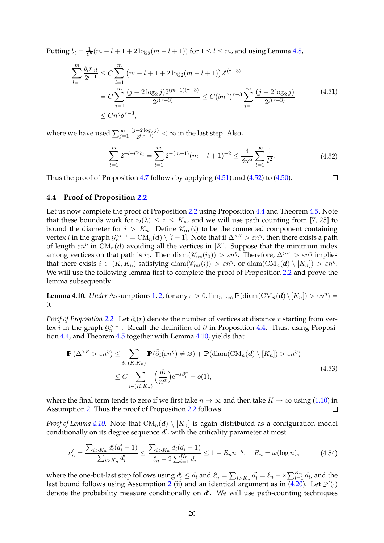Putting  $b_l = \frac{1}{C'}(m-l+1+2\log_2(m-l+1))$  for  $1 \leq l \leq m$ , and using Lemma [4.8,](#page-16-2)

<span id="page-19-0"></span>
$$
\sum_{l=1}^{m} \frac{b_l r_{nl}}{2^{l-1}} \le C \sum_{l=1}^{m} (m - l + 1 + 2 \log_2(m - l + 1)) 2^{l(\tau - 3)} \n= C \sum_{j=1}^{m} \frac{(j + 2 \log_2 j) 2^{(m+1)(\tau - 3)}}{2^{j(\tau - 3)}} \le C (\delta n^{\alpha})^{\tau - 3} \sum_{j=1}^{m} \frac{(j + 2 \log_2 j)}{2^{j(\tau - 3)}} \n\le C n^{\eta} \delta^{\tau - 3},
$$
\n(4.51)

where we have used  $\sum_{j=1}^{\infty}\frac{(j+2\log_2j)}{2^{j(\tau-3)}}$  $\frac{+2 \log_2 j}{2^{j(\tau-3)}} < \infty$  in the last step. Also,

$$
\sum_{l=1}^{m} 2^{-l - C' b_l} = \sum_{l=1}^{m} 2^{-(m+1)} (m - l + 1)^{-2} \le \frac{4}{\delta n^{\alpha}} \sum_{l=1}^{\infty} \frac{1}{l^2}.
$$
 (4.52)

<span id="page-19-1"></span>Thus the proof of Proposition [4.7](#page-15-4) follows by applying [\(4.51\)](#page-19-0) and [\(4.52\)](#page-19-1) to [\(4.50\)](#page-18-1).  $\Box$ 

### **4.4 Proof of Proposition [2.2](#page-8-1)**

Let us now complete the proof of Proposition [2.2](#page-8-1) using Proposition [4.4](#page-14-3) and Theorem [4.5.](#page-15-1) Note that these bounds work for  $i_2(\lambda) \leq i \leq K_n$ , and we will use path counting from [\[7,](#page-23-0) [25](#page-23-25)] to bound the diameter for  $i > K_n$ . Define  $\mathcal{C}_{res}(i)$  to be the connected component containing vertex *i* in the graph  $\mathcal{G}_n^{>i-1} = \mathrm{CM}_n(\bm{d}) \setminus [i-1]$ . Note that if  $\Delta^{>K} > \varepsilon n^{\eta}$ , then there exists a path of length  $\varepsilon n^{\eta}$  in  $\mathrm{CM}_{n}(\boldsymbol{d})$  avoiding all the vertices in [K]. Suppose that the minimum index among vertices on that path is  $i_0$ . Then  $\text{diam}(\mathscr{C}_{\text{res}}(i_0)) > \varepsilon n^{\eta}$ . Therefore,  $\Delta^{>K} > \varepsilon n^{\eta}$  implies that there exists  $i \in (K, K_n)$  satisfying  $\text{diam}(\mathscr{C}_{\text{res}}(i)) > \varepsilon n^{\eta}$ , or  $\text{diam}(\text{CM}_n(\boldsymbol{d}) \setminus [K_n]) > \varepsilon n^{\eta}$ . We will use the following lemma first to complete the proof of Proposition [2.2](#page-8-1) and prove the lemma subsequently:

<span id="page-19-2"></span>**Lemma 4.10.** *Under* Assumptions [1,](#page-2-0) [2,](#page-3-1) for any  $\varepsilon > 0$ ,  $\lim_{n \to \infty} \mathbb{P}(\text{diam}(CM_n(d) \setminus [K_n]) > \varepsilon n^{\eta}) =$ 0.

*Proof of Proposition* [2.2.](#page-8-1) Let  $\partial_i(r)$  denote the number of vertices at distance r starting from vertex *i* in the graph  $\mathcal{G}_n^{>i-1}$ . Recall the definition of  $\bar{\partial}$  in Proposition [4.4.](#page-14-3) Thus, using Proposition [4.4,](#page-14-3) and Theorem [4.5](#page-15-1) together with Lemma [4.10,](#page-19-2) yields that

$$
\mathbb{P}\left(\Delta^{>K} > \varepsilon n^{\eta}\right) \leq \sum_{i \in (K,K_n)} \mathbb{P}(\bar{\partial}_i(\varepsilon n^{\eta}) \neq \varnothing) + \mathbb{P}(\text{diam}(CM_n(d) \setminus [K_n]) > \varepsilon n^{\eta})
$$
  
 
$$
\leq C \sum_{i \in (K,K_n)} \left(\frac{d_i}{n^{\alpha}}\right) e^{-\varepsilon \beta_i^n} + o(1), \tag{4.53}
$$

where the final term tends to zero if we first take  $n \to \infty$  and then take  $K \to \infty$  using [\(1.10\)](#page-3-4) in Assumption 2. Thus the proof of Proposition 2.2 follows. Assumption [2.](#page-3-1) Thus the proof of Proposition [2.2](#page-8-1) follows.

*Proof of Lemma* [4.10.](#page-19-2) Note that  $CM_n(d) \setminus [K_n]$  is again distributed as a configuration model conditionally on its degree sequence  $d'$ , with the criticality parameter at most

$$
\nu_n' = \frac{\sum_{i>K_n} d_i'(d_i'-1)}{\sum_{i>K_n} d_i'} \le \frac{\sum_{i>K_n} d_i(d_i-1)}{\ell_n - 2\sum_{i=1}^{K_n} d_i} \le 1 - R_n n^{-\eta}, \quad R_n = \omega(\log n),\tag{4.54}
$$

where the one-but-last step follows using  $d'_i \leq d_i$  and  $\ell'_n = \sum_{i>K_n} d'_i = \ell_n - 2 \sum_{i=1}^{K_n} d_i$ , and the last bound follows using Assumption [2](#page-3-1) (ii) and an identical argument as in  $(4.20)$ . Let  $\mathbb{P}'(.)$ denote the probability measure conditionally on  $d'$ . We will use path-counting techniques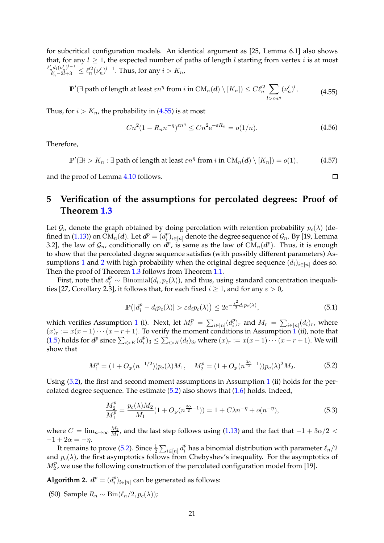for subcritical configuration models. An identical argument as [\[25,](#page-23-25) Lemma 6.1] also shows that, for any  $l \geq 1$ , the expected number of paths of length l starting from vertex i is at most  $\ell'_n d_i(\nu'_n)^{l-1}$  $\frac{e^{i} (v'_n)^{i-1}}{e'_n-2l+3} \leq \ell_n'^2 (\nu'_n)^{l-1}$ . Thus, for any  $i > K_n$ ,

$$
\mathbb{P}'(\exists \text{ path of length at least } \varepsilon n^{\eta} \text{ from } i \text{ in } \mathrm{CM}_n(\boldsymbol{d}) \setminus [K_n]) \le C \ell_n'^2 \sum_{l > \varepsilon n^{\eta}} (\nu_n')^l, \tag{4.55}
$$

<span id="page-20-1"></span>Thus, for  $i > K_n$ , the probability in [\(4.55\)](#page-20-1) is at most

$$
Cn^{2}(1 - R_{n}n^{-\eta})^{\varepsilon n^{\eta}} \le Cn^{2}e^{-\varepsilon R_{n}} = o(1/n). \tag{4.56}
$$

Therefore,

 $\mathbb{P}'(\exists i > K_n : \exists \text{ path of length at least } \varepsilon n^{\eta} \text{ from } i \text{ in } CM_n(\boldsymbol{d}) \setminus [K_n]) = o(1),$  (4.57)

and the proof of Lemma [4.10](#page-19-2) follows.

# <span id="page-20-0"></span>**5 Verification of the assumptions for percolated degrees: Proof of Theorem [1.3](#page-3-3)**

Let  $\mathcal{G}_n$  denote the graph obtained by doing percolation with retention probability  $p_c(\lambda)$  (de-fined in [\(1.13\)](#page-3-2)) on  $\operatorname{CM}_n(\boldsymbol{d}).$  Let  $\boldsymbol{d}^p = (d_i^p)$  $\mathcal{C}_i^p\rangle_{i\in[n]}$  denote the degree sequence of  $\mathcal{G}_n$ . By [\[19](#page-23-9), Lemma 3.2], the law of  $\mathcal{G}_n$ , conditionally on  $\mathbf{d}^p$ , is same as the law of  $\mathrm{CM}_n(\mathbf{d}^p)$ . Thus, it is enough to show that the percolated degree sequence satisfies (with possibly different parameters) As-sumptions [1](#page-2-0) and [2](#page-3-1) with high probability when the original degree sequence  $(d_i)_{i \in [n]}$  does so. Then the proof of Theorem [1.3](#page-3-3) follows from Theorem [1.1.](#page-3-0)

First, note that  $d_i^p \sim \text{Binomial}(d_i, p_c(\lambda))$ , and thus, using standard concentration inequali-ties [\[27,](#page-23-24) Corollary 2.3], it follows that, for each fixed  $i \geq 1$ , and for any  $\varepsilon > 0$ ,

$$
\mathbb{P}\left(|d_i^p - d_i p_c(\lambda)| > \varepsilon d_i p_c(\lambda)\right) \le 2e^{-\frac{\varepsilon^2}{3} d_i p_c(\lambda)},\tag{5.1}
$$

which verifies Assumption [1](#page-2-0) (i). Next, let  $M_r^p = \sum_{i \in [n]} (d_i^p)$  $\sum_{i=1}^p (d_i)_r$ , and  $M_r = \sum_{i \in [n]} (d_i)_r$ , where  $(x)_r := x(x-1)\cdots(x-r+1)$  $(x)_r := x(x-1)\cdots(x-r+1)$  $(x)_r := x(x-1)\cdots(x-r+1)$ . To verify the moment conditions in Assumption 1 (ii), note that [\(1.5\)](#page-2-5) holds for  $\boldsymbol{d}^{p}$  since  $\sum_{i>K}(d_{i}^{p})$  $\sum_{i\geq k}^p(x_i^p)_{3} \leq \sum_{i\geq K}(d_i)_3$ , where  $(x)_r:=x(x-1)\cdots(x-r+1)$ . We will show that

$$
M_1^p = (1 + O_{\mathbb{P}}(n^{-1/2}))p_c(\lambda)M_1, \quad M_2^p = (1 + O_{\mathbb{P}}(n^{\frac{3\alpha}{2}-1}))p_c(\lambda)^2M_2.
$$
 (5.2)

<span id="page-20-2"></span>Using [\(5.2\)](#page-20-2), the first and second moment assumptions in Assumption [1](#page-2-0) (ii) holds for the percolated degree sequence. The estimate [\(5.2\)](#page-20-2) also shows that [\(1.6\)](#page-2-1) holds. Indeed,

$$
\frac{M_2^p}{M_1^p} = \frac{p_c(\lambda)M_2}{M_1}(1 + O_\mathbb{P}(n^{\frac{3\alpha}{2}-1})) = 1 + C\lambda n^{-\eta} + o(n^{-\eta}),\tag{5.3}
$$

where  $C = \lim_{n \to \infty} \frac{M_2}{M_1}$  $\frac{M_2}{M_1}$ , and the last step follows using [\(1.13\)](#page-3-2) and the fact that  $-1+3\alpha/2 <$  $-1+2\alpha=-\eta$ .

It remains to prove [\(5.2\)](#page-20-2). Since  $\frac{1}{2}\sum_{i\in[n]}d_i^p$  $\frac{p}{i}$  has a binomial distribution with parameter  $\ell_n/2$ and  $p_c(\lambda)$ , the first asymptotics follows from Chebyshev's inequality. For the asymptotics of  $M_2^p$ , we use the following construction of the percolated configuration model from [\[19\]](#page-23-9).

<span id="page-20-3"></span>**Algorithm 2.**  $d^p = (d_i^p)$  $\binom{p}{i}_{i\in[n]}$  can be generated as follows:

(S0) Sample  $R_n \sim \text{Bin}(\ell_n/2, p_c(\lambda))$ ;

<span id="page-20-4"></span> $\Box$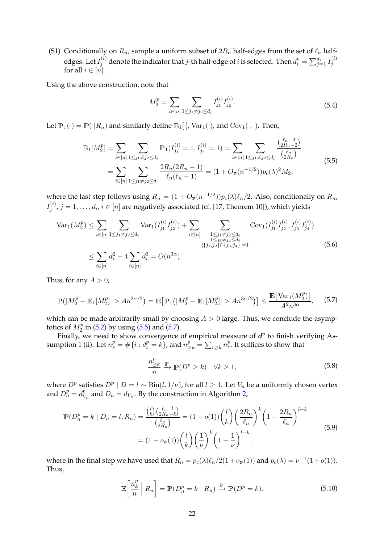(S1) Conditionally on  $R_n$ , sample a uniform subset of  $2R_n$  half-edges from the set of  $\ell_n$  halfedges. Let  $I_j^{(i)}$  denote the indicator that  $j$ -th half-edge of  $i$  is selected. Then  $d_i^p=\sum_{j=1}^{d_i}I_j^{(i)}$ j for all  $i \in [n]$ .

Using the above construction, note that

$$
M_2^p = \sum_{i \in [n]} \sum_{1 \le j_1 \ne j_2 \le d_i} I_{j_1}^{(i)} I_{j_2}^{(i)}.
$$
 (5.4)

<span id="page-21-0"></span>Let  $\mathbb{P}_1(\cdot) = \mathbb{P}(\cdot | R_n)$  and similarly define  $\mathbb{E}_1[\cdot]$ ,  $\text{Var}_1(\cdot)$ , and  $\text{Cov}_1(\cdot, \cdot)$ . Then,

$$
\mathbb{E}_{1}[M_{2}^{p}] = \sum_{i \in [n]} \sum_{1 \leq j_{1} \neq j_{2} \leq d_{i}} \mathbb{P}_{1}(I_{j_{1}}^{(i)} = 1, I_{j_{2}}^{(i)} = 1) = \sum_{i \in [n]} \sum_{1 \leq j_{1} \neq j_{2} \leq d_{i}} \frac{\binom{\ell_{n} - 2}{2R_{n} - 2}}{\binom{\ell_{n}}{2R_{n}}}
$$
\n
$$
= \sum_{i \in [n]} \sum_{1 \leq j_{1} \neq j_{2} \leq d_{i}} \frac{2R_{n}(2R_{n} - 1)}{\binom{\ell_{n}}{2R_{n} - 1}} = (1 + O_{\mathbb{P}}(n^{-1/2}))p_{c}(\lambda)^{2}M_{2},
$$
\n(5.5)

where the last step follows using  $R_n = (1 + O_{\mathbb{P}}(n^{-1/2}))p_c(\lambda)\ell_n/2$ . Also, conditionally on  $R_n$ ,  $I_i^{(i)}$  $j^{(i)}$ ,  $j = 1, \ldots, d_i$ ,  $i \in [n]$  are negatively associated (cf. [\[17](#page-23-26), Theorem 10]), which yields

$$
\operatorname{Var}_{1}(M_{2}^{p}) \leq \sum_{i \in [n]} \sum_{1 \leq j_{1} \neq j_{2} \leq d_{i}} \operatorname{Var}_{1}(I_{j_{1}}^{(i)} I_{j_{2}}^{(i)}) + \sum_{i \in [n]} \sum_{\substack{1 \leq j_{1} \neq j_{2} \leq d_{i} \\ 1 \leq j_{3} \neq j_{4} \leq d_{i} \\ |\{j_{1}, j_{2}\} \cap \{j_{3}, j_{4}\}| = 1}} \operatorname{Cov}_{1}(I_{j_{1}}^{(i)} I_{j_{2}}^{(i)}, I_{j_{3}}^{(i)} I_{j_{4}}^{(i)})
$$
\n
$$
\leq \sum_{i \in [n]} d_{i}^{2} + 4 \sum_{i \in [n]} d_{i}^{3} = O(n^{3\alpha}). \tag{5.6}
$$

Thus, for any  $A > 0$ ,

<span id="page-21-1"></span>
$$
\mathbb{P}\left(|M_2^p - \mathbb{E}_1[M_2^p]| > An^{3\alpha/2}\right) = \mathbb{E}\left[\mathbb{P}_1\left(|M_2^p - \mathbb{E}_1[M_2^p]| > An^{3\alpha/2}\right)\right] \le \frac{\mathbb{E}\left[\text{Var}_1(M_2^p)\right]}{A^2 n^{3\alpha}},\tag{5.7}
$$

which can be made arbitrarily small by choosing  $A > 0$  large. Thus, we conclude the asymptotics of  $M_2^p$  in [\(5.2\)](#page-20-2) by using [\(5.5\)](#page-21-0) and [\(5.7\)](#page-21-1).

Ex or  $m_2$  in (5.2) by using (5.5) and (5.7).<br>Finally, we need to show convergence of empirical measure of  $d^p$  to finish verifying As-sumption [1](#page-2-0) (ii). Let  $n_k^p = \#\{i : d_i^p = k\}$ , and  $n_{\geq k}^p = \sum_{r \geq k} n_r^p$ . It suffices to show that

$$
\frac{n_{\geq k}^p}{n} \xrightarrow{\mathbb{P}} (\mathbb{D}^p \geq k) \quad \forall k \geq 1,
$$
\n(5.8)

<span id="page-21-3"></span>where  $D^p$  satisfies  $D^p | D = l \sim Bin(l, 1/\nu)$ , for all  $l \geq 1$ . Let  $V_n$  be a uniformly chosen vertex and  $D_n^p = d_V^p$  $\frac{p}{V_n}$  and  $D_n = d_{V_n}$ . By the construction in Algorithm [2,](#page-20-3)

$$
\mathbb{P}(D_n^p = k \mid D_n = l, R_n) = \frac{\binom{l}{k} \binom{\ell_n - l}{2R_n - k}}{\binom{\ell_n}{2R_n}} = (1 + o(1)) \binom{l}{k} \left(\frac{2R_n}{\ell_n}\right)^k \left(1 - \frac{2R_n}{\ell_n}\right)^{l - k}
$$
\n
$$
= (1 + o_{\mathbb{P}}(1)) \binom{l}{k} \left(\frac{1}{\nu}\right)^k \left(1 - \frac{1}{\nu}\right)^{l - k},\tag{5.9}
$$

<span id="page-21-2"></span>where in the final step we have used that  $R_n = p_c(\lambda) \ell_n/2(1+o_{\mathbb{P}}(1))$  and  $p_c(\lambda) = \nu^{-1}(1+o(1)).$ Thus,

$$
\mathbb{E}\left[\frac{n_k^p}{n} \middle| R_n\right] = \mathbb{P}(D_n^p = k \mid R_n) \xrightarrow{\mathbb{P}} \mathbb{P}(D^p = k). \tag{5.10}
$$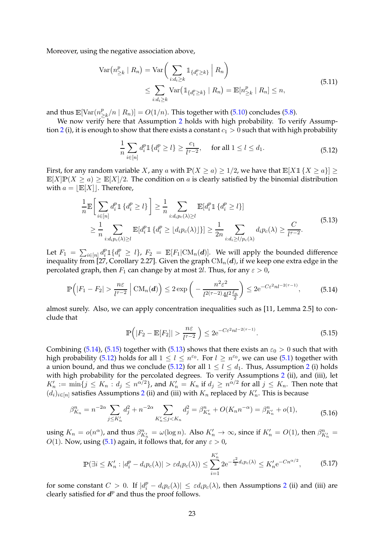Moreover, using the negative association above,

$$
\operatorname{Var}\left(n_{\geq k}^p \mid R_n\right) = \operatorname{Var}\left(\sum_{i:d_i \geq k} \mathbb{1}_{\{d_i^p \geq k\}} \mid R_n\right)
$$
  
\$\leq \sum\_{i:d\_i \geq k} \operatorname{Var}\left(\mathbb{1}\_{\{d\_i^p \geq k\}} \mid R\_n\right) = \mathbb{E}[n\_{\geq k}^p \mid R\_n] \leq n\$, \$(5.11)\$

and thus  $\mathbb{E}[\text{Var}(n_1^p)]$  $\sum_{k=1}^{p} (n | R_n) ] = O(1/n)$ . This together with [\(5.10\)](#page-21-2) concludes [\(5.8\)](#page-21-3).

We now verify here that Assumption [2](#page-3-1) holds with high probability. To verify Assump-tion [2](#page-3-1) (i), it is enough to show that there exists a constant  $c_1 > 0$  such that with high probability

$$
\frac{1}{n}\sum_{i\in[n]}d_i^p1\{d_i^p\ge l\}\ge \frac{c_1}{l^{\tau-2}}, \quad \text{ for all } 1 \le l \le d_1. \tag{5.12}
$$

<span id="page-22-3"></span>First, for any random variable X, any a with  $\mathbb{P}(X \ge a) \ge 1/2$ , we have that  $\mathbb{E}[X \mathbb{1} \{X \ge a\}] \ge$  $\mathbb{E}[X]\mathbb{P}(X \ge a) \ge \mathbb{E}[X]/2$ . The condition on a is clearly satisfied by the binomial distribution with  $a = |E[X]|$ . Therefore,

$$
\frac{1}{n}\mathbb{E}\Big[\sum_{i\in[n]}d_i^p\mathbb{1}\{d_i^p\geq l\}\Big]\geq \frac{1}{n}\sum_{i:d_ip_c(\lambda)\geq l}\mathbb{E}[d_i^p\mathbb{1}\{d_i^p\geq l\}] \\
\geq \frac{1}{n}\sum_{i:d_ip_c(\lambda)\geq l}\mathbb{E}[d_i^p\mathbb{1}\{d_i^p\geq \lfloor d_ip_c(\lambda)\rfloor\}] \geq \frac{1}{2n}\sum_{i:d_i\geq l/p_c(\lambda)}d_ip_c(\lambda)\geq \frac{C}{l^{\tau-2}}.\n\tag{5.13}
$$

<span id="page-22-2"></span>Let  $F_1 = \sum_{i \in [n]} d_i^p 1\{d_i^p \geq l\}$ ,  $F_2 = \mathbb{E}[F_1 | \text{CM}_n(d)]$ . We will apply the bounded difference inequality from [\[27,](#page-23-24) Corollary 2.27]. Given the graph  $CM_n(d)$ , if we keep one extra edge in the percolated graph, then  $F_1$  can change by at most 2l. Thus, for any  $\varepsilon > 0$ ,

$$
\mathbb{P}\left(|F_1 - F_2| > \frac{n\varepsilon}{l^{\tau - 2}} \mid \mathrm{CM}_n(d)\right) \le 2 \exp\left(-\frac{n^2\varepsilon^2}{l^{2(\tau - 2)} 4l^2 \frac{\ell_n}{2}}\right) \le 2e^{-C\varepsilon^2 n l^{-2(\tau - 1)}},\tag{5.14}
$$

<span id="page-22-0"></span>almost surely. Also, we can apply concentration inequalities such as [\[11](#page-23-27), Lemma 2.5] to conclude that

$$
\mathbb{P}\left(|F_2 - \mathbb{E}[F_2]| > \frac{n\varepsilon}{l^{\tau - 2}}\right) \le 2e^{-C\varepsilon^2 n l^{-2(\tau - 1)}}.\tag{5.15}
$$

<span id="page-22-1"></span>Combining [\(5.14\)](#page-22-0), [\(5.15\)](#page-22-1) together with [\(5.13\)](#page-22-2) shows that there exists an  $\varepsilon_0 > 0$  such that with high probability [\(5.12\)](#page-22-3) holds for all  $1 \leq l \leq n^{\varepsilon_0}$ . For  $l \geq n^{\varepsilon_0}$ , we can use [\(5.1\)](#page-20-4) together with a union bound, and thus we conclude [\(5.12\)](#page-22-3) for all  $1 \le l \le d_1$ . Thus, Assumption [2](#page-3-1) (i) holds with high probability for the percolated degrees. To verify Assumptions [2](#page-3-1) (ii), and (iii), let  $K'_n := \min\{j \le K_n : d_j \le n^{\alpha/2}\}$ , and  $K'_n = K_n$  if  $d_j \ge n^{\alpha/2}$  for all  $j \le K_n$ . Then note that  $(d_i)_{i \in [n]}$  satisfies Assumptions [2](#page-3-1) (ii) and (iii) with  $K_n$  replaced by  $K'_n$ . This is because

$$
\beta_{K_n}^n = n^{-2\alpha} \sum_{j \le K_n'} d_j^2 + n^{-2\alpha} \sum_{K_n' \le j < K_n} d_j^2 = \beta_{K_n'}^n + O(K_n n^{-\alpha}) = \beta_{K_n'}^n + o(1),\tag{5.16}
$$

using  $K_n = o(n^{\alpha})$ , and thus  $\beta_{K'_n}^n = \omega(\log n)$ . Also  $K'_n \to \infty$ , since if  $K'_n = O(1)$ , then  $\beta_{K'_n}^n = O(1)$ O(1). Now, using [\(5.1\)](#page-20-4) again, it follows that, for any  $\varepsilon > 0$ ,

$$
\mathbb{P}(\exists i \le K'_n : |d_i^p - d_i p_c(\lambda)| > \varepsilon d_i p_c(\lambda)) \le \sum_{i=1}^{K'_n} 2e^{-\frac{\varepsilon^2}{3} d_i p_c(\lambda)} \le K'_n e^{-Cn^{\alpha/2}},\tag{5.17}
$$

for some constant  $C > 0$ . If  $|d_i^p - d_i p_c(\lambda)| \leq \varepsilon d_i p_c(\lambda)$ , then Assumptions [2](#page-3-1) (ii) and (iii) are clearly satisfied for  $d^p$  and thus the proof follows.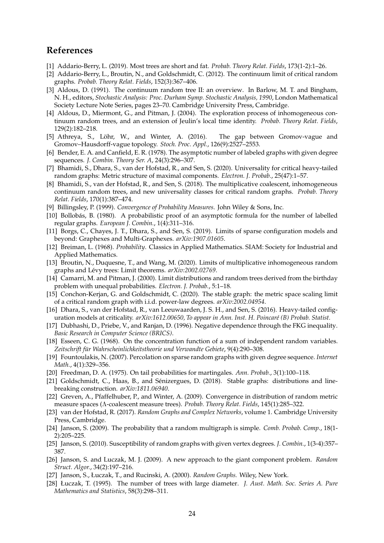# **References**

- <span id="page-23-21"></span>[1] Addario-Berry, L. (2019). Most trees are short and fat. *Probab. Theory Relat. Fields*, 173(1-2):1–26.
- <span id="page-23-2"></span>[2] Addario-Berry, L., Broutin, N., and Goldschmidt, C. (2012). The continuum limit of critical random graphs. *Probab. Theory Relat. Fields*, 152(3):367–406.
- <span id="page-23-15"></span>[3] Aldous, D. (1991). The continuum random tree II: an overview. In Barlow, M. T. and Bingham, N. H., editors, *Stochastic Analysis: Proc. Durham Symp. Stochastic Analysis, 1990*, London Mathematical Society Lecture Note Series, pages 23–70. Cambridge University Press, Cambridge.
- <span id="page-23-17"></span>[4] Aldous, D., Miermont, G., and Pitman, J. (2004). The exploration process of inhomogeneous continuum random trees, and an extension of Jeulin's local time identity. *Probab. Theory Relat. Fields*, 129(2):182–218.
- <span id="page-23-1"></span>[5] Athreya, S., Löhr, W., and Winter, A. (2016). The gap between Gromov-vague and Gromov–Hausdorff-vague topology. *Stoch. Proc. Appl.*, 126(9):2527–2553.
- <span id="page-23-3"></span>[6] Bender, E. A. and Canfield, E. R. (1978). The asymptotic number of labeled graphs with given degree sequences. *J. Combin. Theory Ser. A*, 24(3):296–307.
- <span id="page-23-0"></span>[7] Bhamidi, S., Dhara, S., van der Hofstad, R., and Sen, S. (2020). Universality for critical heavy-tailed random graphs: Metric structure of maximal components. *Electron. J. Probab.*, 25(47):1–57.
- <span id="page-23-10"></span>[8] Bhamidi, S., van der Hofstad, R., and Sen, S. (2018). The multiplicative coalescent, inhomogeneous continuum random trees, and new universality classes for critical random graphs. *Probab. Theory Relat. Fields*, 170(1):387–474.
- <span id="page-23-20"></span>[9] Billingsley, P. (1999). *Convergence of Probability Measures*. John Wiley & Sons, Inc.
- <span id="page-23-4"></span>[10] Bollobás, B. (1980). A probabilistic proof of an asymptotic formula for the number of labelled regular graphs. *European J. Combin.*, 1(4):311–316.
- <span id="page-23-27"></span>[11] Borgs, C., Chayes, J. T., Dhara, S., and Sen, S. (2019). Limits of sparse configuration models and beyond: Graphexes and Multi-Graphexes. *arXiv:1907.01605*.
- <span id="page-23-19"></span>[12] Breiman, L. (1968). *Probability*. Classics in Applied Mathematics. SIAM: Society for Industrial and Applied Mathematics.
- <span id="page-23-18"></span>[13] Broutin, N., Duquesne, T., and Wang, M. (2020). Limits of multiplicative inhomogeneous random graphs and Lévy trees: Limit theorems. *arXiv:2002.02769*.
- <span id="page-23-16"></span>[14] Camarri, M. and Pitman, J. (2000). Limit distributions and random trees derived from the birthday problem with unequal probabilities. *Electron. J. Probab.*, 5:1–18.
- <span id="page-23-12"></span>[15] Conchon-Kerjan, G. and Goldschmidt, C. (2020). The stable graph: the metric space scaling limit of a critical random graph with i.i.d. power-law degrees. *arXiv:2002.04954*.
- <span id="page-23-6"></span>[16] Dhara, S., van der Hofstad, R., van Leeuwaarden, J. S. H., and Sen, S. (2016). Heavy-tailed configuration models at criticality. *arXiv:1612.00650, To appear in Ann. Inst. H. Poincaré (B) Probab. Statist.*
- <span id="page-23-26"></span>[17] Dubhashi, D., Priebe, V., and Ranjan, D. (1996). Negative dependence through the FKG inequality. *Basic Research in Computer Science (BRICS)*.
- <span id="page-23-23"></span>[18] Esseen, C. G. (1968). On the concentration function of a sum of independent random variables. *Zeitschrift für Wahrscheinlichkeitstheorie und Verwandte Gebiete*, 9(4):290–308.
- <span id="page-23-9"></span>[19] Fountoulakis, N. (2007). Percolation on sparse random graphs with given degree sequence. *Internet Math.*, 4(1):329–356.
- <span id="page-23-22"></span>[20] Freedman, D. A. (1975). On tail probabilities for martingales. *Ann. Probab.*, 3(1):100–118.
- <span id="page-23-13"></span>[21] Goldschmidt, C., Haas, B., and Sénizergues, D. (2018). Stable graphs: distributions and linebreaking construction. *arXiv:1811.06940*.
- <span id="page-23-11"></span>[22] Greven, A., Pfaffelhuber, P., and Winter, A. (2009). Convergence in distribution of random metric measure spaces (Λ-coalescent measure trees). *Probab. Theory Relat. Fields*, 145(1):285–322.
- <span id="page-23-5"></span>[23] van der Hofstad, R. (2017). *Random Graphs and Complex Networks*, volume 1. Cambridge University Press, Cambridge.
- <span id="page-23-7"></span>[24] Janson, S. (2009). The probability that a random multigraph is simple. *Comb. Probab. Comp.*, 18(1- 2):205–225.
- <span id="page-23-25"></span>[25] Janson, S. (2010). Susceptibility of random graphs with given vertex degrees. *J. Combin.*, 1(3-4):357– 387.
- <span id="page-23-8"></span>[26] Janson, S. and Luczak, M. J. (2009). A new approach to the giant component problem. *Random Struct. Algor.*, 34(2):197–216.
- <span id="page-23-24"></span>[27] Janson, S., Łuczak, T., and Rucinski, A. (2000). *Random Graphs.* Wiley, New York.
- <span id="page-23-14"></span>[28] Łuczak, T. (1995). The number of trees with large diameter. *J. Aust. Math. Soc. Series A. Pure Mathematics and Statistics*, 58(3):298–311.